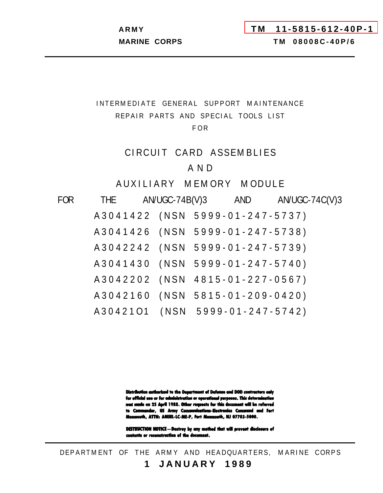<span id="page-0-0"></span>

# INTERMEDIATE GENERAL SUPPORT MAINTENANCE REPAIR PARTS AND SPECIAL TOOLS LIST

# F O R

# CIRCUIT CARD ASSEMBLIES

# A N D

AUXILIARY MEMORY MODULE

| FOR | <b>THE</b>                      | AN/UGC-74B(V)3 | AND                      | AN/UGC-74C(V)3 |
|-----|---------------------------------|----------------|--------------------------|----------------|
|     | A3041422 (NSN 5999-01-247-5737) |                |                          |                |
|     | A 3 0 4 1 4 2 6 (N S N          |                | $5999 - 01 - 247 - 5738$ |                |
|     | A3042242 (NSN                   |                | $5999 - 01 - 247 - 5739$ |                |
|     | A 3 0 4 1 4 3 0 (N S N          |                | $5999 - 01 - 247 - 5740$ |                |
|     | A3042202 (NSN                   |                | $4815 - 01 - 227 - 0567$ |                |
|     | A3042160 (NSN                   |                | $5815 - 01 - 209 - 0420$ |                |
|     | A3042101 (NSN                   |                | $5999 - 01 - 247 - 5742$ |                |

Distribution authorized to the Department of Defense and DOD contractors enly for official use or for administration or operational purposes. This determination was made on 25 April 1988. Other requests for this decument will be referred to Commander, US Army Communications-Electronics Command and Fert Monmouth, ATTH: AMSEL-LC-ME-P, Fort Monmouth, NJ 07703-5000.

DESTRUCTION NOTICE - Destroy by any mothed that will prevent disclesure of contents or reconstruction of the document.

DEPARTMENT OF THE ARMY AND HEADQUARTERS, MARINE CORPS **1 JANUARY 198 9**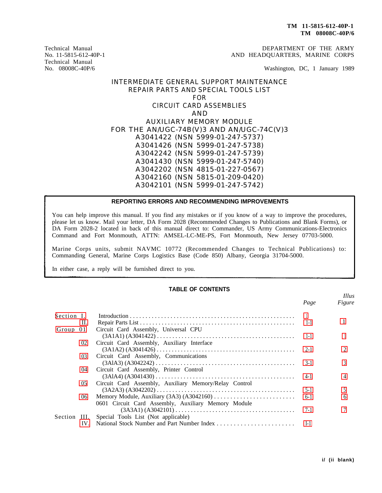DEPARTMENT OF THE ARMY AND HEADQUARTERS, MARINE CORPS

Washington, DC, 1 January 1989

## INTERMEDIATE GENERAL SUPPORT MAINTENANCE REPAIR PARTS AND SPECIAL TOOLS LIST FOR CIRCUIT CARD ASSEMBLIES AND AUXILIARY MEMORY MODULE FOR THE AN/UGC-74B(V)3 AND AN/UGC-74C(V)3 A3041422 (NSN 5999-01-247-5737) A3041426 (NSN 5999-01-247-5738) A3042242 (NSN 5999-01-247-5739) A3041430 (NSN 5999-01-247-5740) A3042202 (NSN 4815-01-227-0567) A3042160 (NSN 5815-01-209-0420) A3042101 (NSN 5999-01-247-5742)

### **REPORTING ERRORS AND RECOMMENDING IMPROVEMENTS**

You can help improve this manual. If you find any mistakes or if you know of a way to improve the procedures, please let us know. Mail your letter, DA Form 2028 (Recommended Changes to Publications and Blank Forms), or DA Form 2028-2 located in back of this manual direct to: Commander, US Army Communications-Electronics Command and Fort Monmouth, ATTN: AMSEL-LC-ME-PS, Fort Monmouth, New Jersey 07703-5000.

Marine Corps units, submit NAVMC 10772 (Recommended Changes to Technical Publications) to: Commanding General, Marine Corps Logistics Base (Code 850) Albany, Georgia 31704-5000.

In either case, a reply will be furnished direct to you.

<span id="page-1-0"></span>Technical Manual No. 11-5815-612-40P-1 Technical Manual No. 08008C-40P/6

### **TABLE OF CONTENTS**

|              |                 |                                                                                                                 | Page    | <i>Illus</i><br>Figure |
|--------------|-----------------|-----------------------------------------------------------------------------------------------------------------|---------|------------------------|
| Section I.   |                 |                                                                                                                 |         |                        |
|              | П.              |                                                                                                                 | $1 - 1$ |                        |
| Group 01     |                 | Circuit Card Assembly, Universal CPU                                                                            |         |                        |
|              |                 |                                                                                                                 | $1 - 1$ |                        |
|              | 02              | Circuit Card Assembly, Auxiliary Interface                                                                      |         |                        |
|              |                 |                                                                                                                 | $2-1$   |                        |
|              | 03              | Circuit Card Assembly, Communications                                                                           |         |                        |
|              |                 | $(3A1A3) (A3042242) \ldots \ldots \ldots \ldots \ldots \ldots \ldots \ldots \ldots \ldots \ldots \ldots \ldots$ | $3-1$   |                        |
|              | 04              | Circuit Card Assembly, Printer Control                                                                          |         |                        |
|              |                 |                                                                                                                 | $4-1$   |                        |
|              | 05              | Circuit Card Assembly, Auxiliary Memory/Relay Control                                                           |         |                        |
|              |                 |                                                                                                                 | $5-1$   |                        |
|              | 06 <sup>2</sup> | Memory Module, Auxiliary $(3A3) (A3042160) \dots \dots \dots \dots \dots \dots \dots \dots$                     | $6-1$   | 6                      |
|              |                 | 0601 Circuit Card Assembly, Auxiliary Memory Module                                                             |         |                        |
|              |                 | $(3A3A1) (A3042101) \ldots \ldots \ldots \ldots \ldots \ldots \ldots \ldots \ldots \ldots \ldots \ldots$        | 7-1     |                        |
| Section III. |                 | Special Tools List (Not applicable)                                                                             |         |                        |
|              | IV.             |                                                                                                                 | $I-1$   |                        |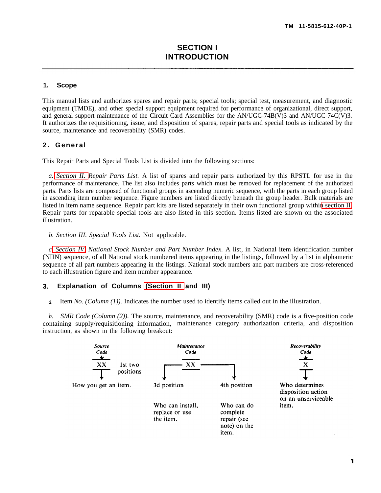### <span id="page-2-0"></span>**1. Scope**

This manual lists and authorizes spares and repair parts; special tools; special test, measurement, and diagnostic equipment (TMDE), and other special support equipment required for performance of organizational, direct support, and general support maintenance of the Circuit Card Assemblies for the AN/UGC-74B(V)3 and AN/UGC-74C(V)3. It authorizes the requisitioning, issue, and disposition of spares, repair parts and special tools as indicated by the source, maintenance and recoverability (SMR) codes.

### **2. General**

This Repair Parts and Special Tools List is divided into the following sections:

*a. [Section II.](#page-11-0) Repair Parts List.* A list of spares and repair parts authorized by this RPSTL for use in the performance of maintenance. The list also includes parts which must be removed for replacement of the authorized parts. Parts lists are composed of functional groups in ascending numeric sequence, with the parts in each group listed in ascending item number sequence. Figure numbers are listed directly beneath the group header. Bulk materials are listed in item name sequence. Repair part kits are listed separately in their own functional group withi[n section II.](#page-11-0) Repair parts for reparable special tools are also listed in this section. Items listed are shown on the associated illustration.

*b. Section III. Special Tools List.* Not applicable.

*c[. Section IV.](#page-37-0) National Stock Number and Part Number Index.* A list, in National item identification number (NIIN) sequence, of all National stock numbered items appearing in the listings, followed by a list in alphameric sequence of all part numbers appearing in the listings. National stock numbers and part numbers are cross-referenced to each illustration figure and item number appearance.

#### **3. Explanation of Columns [\(Section II](#page-11-0) and III)**

*a.* Item *No. (Column (1)).* Indicates the number used to identify items called out in the illustration.

*b. SMR Code (Column (2)).* The source, maintenance, and recoverability (SMR) code is a five-position code containing supply/requisitioning information, maintenance category authorization criteria, and dispositioninstruction, as shown in the following breakout:

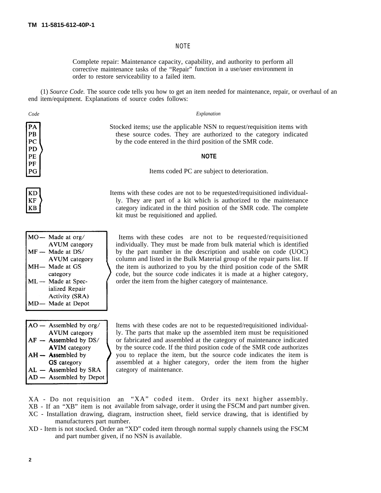### NOTE

Complete repair: Maintenance capacity, capability, and authority to perform all corrective maintenance tasks of the "Repair" function in a use/user environment in order to restore serviceability to a failed item.

(1) *Source Code.* The source code tells you how to get an item needed for maintenance, repair, or overhaul of an end item/equipment. Explanations of source codes follows:

*Code Explanation*

PA  $PB$ PC **PD** PF PF PG

**KD KF**  $KB$ 

Stocked items; use the applicable NSN to request/requisition items with these source codes. They are authorized to the category indicated by the code entered in the third position of the SMR code.

### **NOTE**

Items coded PC are subject to deterioration.

Items with these codes are not to be requested/requisitioned individually. They are part of a kit which is authorized to the maintenance category indicated in the third position of the SMR code. The complete kit must be requisitioned and applied.

| $MO$ — Made at org/   |
|-----------------------|
| <b>AVUM</b> category  |
| $MF - Made$ at $DS/$  |
| <b>AVUM</b> category  |
| MH- Made at GS        |
| category              |
| ML - Made at Spec-    |
| ialized Repair        |
| <b>Activity (SRA)</b> |
| D— Made at Depot      |

 Items with these codes are not to be requested/requisitioned individually. They must be made from bulk material which is identified by the part number in the description and usable on code (UOC) column and listed in the Bulk Material group of the repair parts list. If the item is authorized to you by the third position code of the SMR code, but the source code indicates it is made at a higher category, order the item from the higher category of maintenance.

| $AO -$ Assembled by org/  |
|---------------------------|
| <b>AVUM</b> category      |
| $AF -$ Assembled by $DS/$ |
| <b>AVIM</b> category      |
| $AH -$ Assembled by       |
| <b>GS</b> category        |
| $AL -$ Assembled by SRA   |
| $AD -$ Assembled by Depot |
|                           |

 Items with these codes are not to be requested/requisitioned individually. The parts that make up the assembled item must be requisitioned or fabricated and assembled at the category of maintenance indicated by the source code. If the third position code of the SMR code authorizes you to replace the item, but the source code indicates the item is assembled at a higher category, order the item from the higher category of maintenance.

XA - Do not requisition an "XA" coded item. Order its next higher assembly.

XB - If an "XB" item is not available from salvage, order it using the FSCM and part number given.

XC - Installation drawing, diagram, instruction sheet, field service drawing, that is identified by manufacturers part number.

XD - Item is not stocked. Order an "XD" coded item through normal supply channels using the FSCM and part number given, if no NSN is available.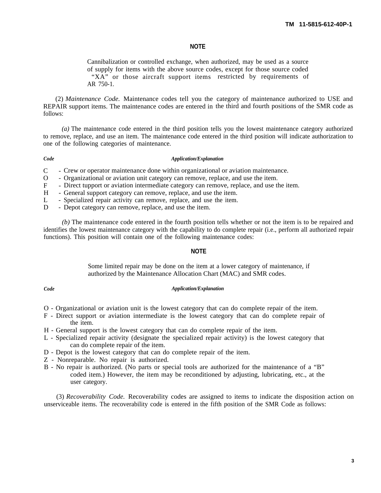### **NOTE**

Cannibalization or controlled exchange, when authorized, may be used as a source of supply for items with the above source codes, except for those source coded "XA" or those aircraft support items restricted by requirements of AR 750-1.

(2) *Maintenance Code.* Maintenance codes tell you the category of maintenance authorized to USE and REPAIR support items. The maintenance codes are entered in the third and fourth positions of the SMR code as follows:

*(a)* The maintenance code entered in the third position tells you the lowest maintenance category authorized to remove, replace, and use an item. The maintenance code entered in the third position will indicate authorization to one of the following categories of maintenance.

#### *Code*

### *Application/Explanation*

 $\mathcal{C}$ Crew or operator maintenance done within organizational or aviation maintenance.

- $\Omega$ Organizational or aviation unit category can remove, replace, and use the item.
- $\mathbf{F}$ Direct tupport or aviation intermediate category can remove, replace, and use the item.
- $H$ General support category can remove, replace, and use the item.
- $\mathbf{L}$ Specialized repair activity can remove, replace, and use the item.
- $\mathbf{D}$ Depot category can remove, replace, and use the item.

*(b)* The maintenance code entered in the fourth position tells whether or not the item is to be repaired and identifies the lowest maintenance category with the capability to do complete repair (i.e., perform all authorized repair functions). This position will contain one of the following maintenance codes:

### **NOTE**

Some limited repair may be done on the item at a lower category of maintenance, if authorized by the Maintenance Allocation Chart (MAC) and SMR codes.

#### *Code Application/Explanation*

- O Organizational or aviation unit is the lowest category that can do complete repair of the item.
- F Direct support or aviation intermediate is the lowest category that can do complete repair of the item.
- H General support is the lowest category that can do complete repair of the item.
- L Specialized repair activity (designate the specialized repair activity) is the lowest category that can do complete repair of the item.
- D Depot is the lowest category that can do complete repair of the item.
- Z Nonreparable. No repair is authorized.
- B No repair is authorized. (No parts or special tools are authorized for the maintenance of a "B" coded item.) However, the item may be reconditioned by adjusting, lubricating, etc., at the user category.

(3) *Recoverability Code.* Recoverability codes are assigned to items to indicate the disposition action on unserviceable items. The recoverability code is entered in the fifth position of the SMR Code as follows: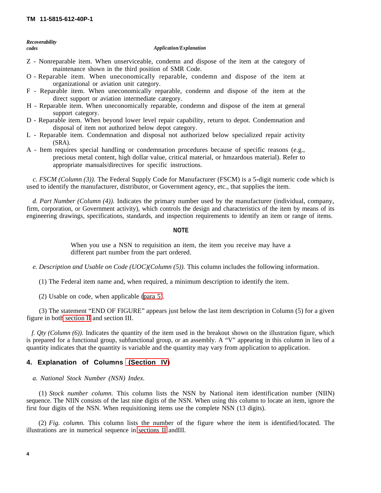<span id="page-5-0"></span>*Recoverability*

#### *codes Application/Explanation*

- Z Nonreparable item. When unserviceable, condemn and dispose of the item at the category of maintenance shown in the third position of SMR Code.
- O Reparable item. When uneconomically reparable, condemn and dispose of the item at organizational or aviation unit category.
- F Reparable item. When uneconomically reparable, condemn and dispose of the item at the direct support or aviation intermediate category.
- H Reparable item. When uneconomically reparable, condemn and dispose of the item at general support category.
- D Reparable item. When beyond lower level repair capability, return to depot. Condemnation and disposal of item not authorized below depot category.
- L Reparable item. Condemnation and disposal not authorized below specialized repair activity (SRA).
- A Item requires special handling or condemnation procedures because of specific reasons (e.g., precious metal content, high dollar value, critical material, or hmzardous material). Refer to appropriate manuals/directives for specific instructions.

*c. FSCM (Column (3)).* The Federal Supply Code for Manufacturer (FSCM) is a 5-digit numeric code which is used to identify the manufacturer, distributor, or Government agency, etc., that supplies the item.

*d. Part Number (Column (4)).* Indicates the primary number used by the manufacturer (individual, company, firm, corporation, or Government activity), which controls the design and characteristics of the item by means of its engineering drawings, specifications, standards, and inspection requirements to identify an item or range of items.

### **NOTE**

When you use a NSN to requisition an item, the item you receive may have a different part number from the part ordered.

*e. Description and Usable on Code (UOC)(Column (5)).* This column includes the following information.

(1) The Federal item name and, when required, a minimum description to identify the item.

(2) Usable on code, when applicable [\(para 5\)](#page-6-0).

(3) The statement "END OF FIGURE" appears just below the last item description in Column (5) for a given figure in bot[h section II](#page-11-0) and section III.

*f. Qty (Column (6)).* Indicates the quantity of the item used in the breakout shown on the illustration figure, which is prepared for a functional group, subfunctional group, or an assembly. A "V" appearing in this column in lieu of a quantity indicates that the quantity is variable and the quantity may vary from application to application.

### **4. Explanation of Columns [\(Section IV\)](#page-37-0)**

### *a. National Stock Number (NSN) Index.*

(1) *Stock number column.* This column lists the NSN by National item identification number (NIIN) sequence. The NIIN consists of the last nine digits of the NSN. When using this column to locate an item, ignore the first four digits of the NSN. When requisitioning items use the complete NSN (13 digits).

(2) *Fig. column.* This column lists the number of the figure where the item is identified/located. The illustrations are in numerical sequence in [sections II](#page-11-0) andIII.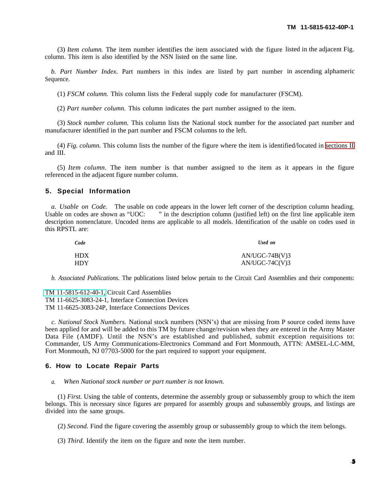<span id="page-6-0"></span>(3) *Item column.* The item number identifies the item associated with the figure listed in the adjacent Fig. column. This item is also identified by the NSN listed on the same line.

*b. Part Number Index.* Part numbers in this index are listed by part number in ascending alphameric Sequence.

(1) *FSCM column.* This column lists the Federal supply code for manufacturer (FSCM).

(2) *Part number column.* This column indicates the part number assigned to the item.

(3) *Stock number column.* This column lists the National stock number for the associated part number and manufacturer identified in the part number and FSCM columns to the left.

(4) *Fig. column.* This column lists the number of the figure where the item is identified/located in [sections II](#page-11-0) and III.

(5) *Item column.* The item number is that number assigned to the item as it appears in the figure referenced in the adjacent figure number column.

### **5. Special Information**

*a. Usable on Code.* The usable on code appears in the lower left corner of the description column heading. Usable on codes are shown as "UOC: " in the description column (justified left) on the first line applicable item description nomenclature. Uncoded items are applicable to all models. Identification of the usable on codes used in this RPSTL are:

| Code | Used on          |
|------|------------------|
| HDX  | $AN/UGC-74B(V)3$ |
| HDY  | $AN/UGC-74C(V)3$ |

*b. Associated Publications.* The publications listed below pertain to the Circuit Card Assemblies and their components:

[TM 11-5815-612-40-1,](#page-0-0) Circuit Card Assemblies TM 11-6625-3083-24-1, Interface Connection Devices TM 11-6625-3083-24P, Interface Connections Devices

*c. National Stock Numbers.* National stock numbers (NSN's) that are missing from P source coded items have been applied for and will be added to this TM by future change/revision when they are entered in the Army Master Data File (AMDF). Until the NSN's are established and published, submit exception requisitions to: Commander, US Army Communications-Electronics Command and Fort Monmouth, ATTN: AMSEL-LC-MM, Fort Monmouth, NJ 07703-5000 for the part required to support your equipment.

### **6. How to Locate Repair Parts**

*a. When National stock number or part number is not known.*

(1) *First.* Using the table of contents, determine the assembly group or subassembly group to which the item belongs. This is necessary since figures are prepared for assembly groups and subassembly groups, and listings are divided into the same groups.

(2) *Second.* Find the figure covering the assembly group or subassembly group to which the item belongs.

(3) *Third.* Identify the item on the figure and note the item number.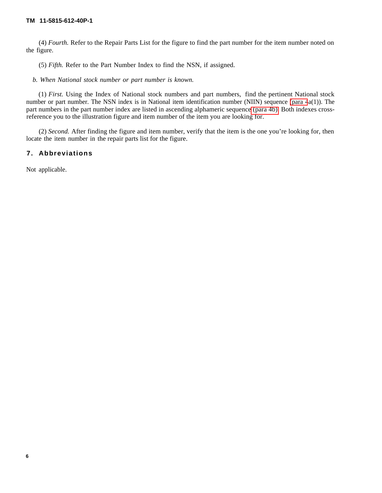(4) *Fourth.* Refer to the Repair Parts List for the figure to find the part number for the item number noted on the figure.

(5) *Fifth.* Refer to the Part Number Index to find the NSN, if assigned.

*b. When National stock number or part number is known.*

(1) *First.* Using the Index of National stock numbers and part numbers, find the pertinent National stock number or part number. The NSN index is in National item identification number (NIIN) sequence [\(para 4](#page-5-0)a(1)). The part numbers in the part number index are listed in ascending alphameric sequence [\(para 4b\).](#page-6-0) Both indexes crossreference you to the illustration figure and item number of the item you are looking for.

(2) *Second.* After finding the figure and item number, verify that the item is the one you're looking for, then locate the item number in the repair parts list for the figure.

## **7. Abbreviations**

Not applicable.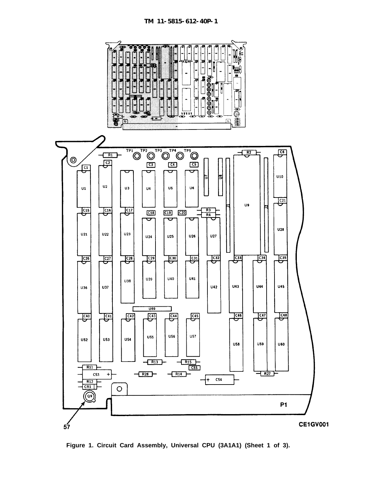<span id="page-8-0"></span>

**Figure 1. Circuit Card Assembly, Universal CPU (3A1A1) (Sheet 1 of 3).**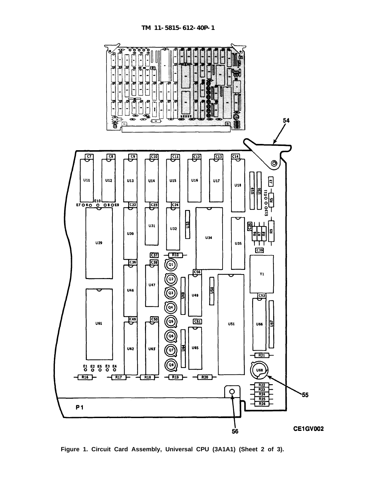

**Figure 1. Circuit Card Assembly, Universal CPU (3A1A1) (Sheet 2 of 3).**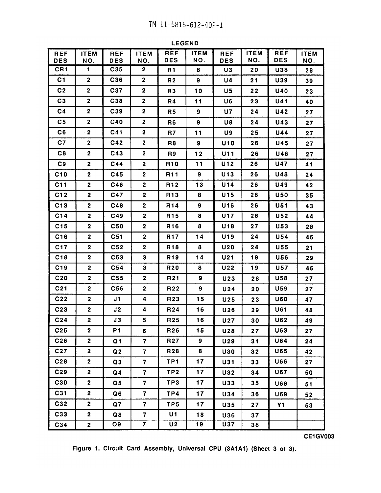**LEGEND** 

| <b>REF</b><br><b>DES</b> | <b>ITEM</b><br>NO.      | <b>REF</b><br><b>DES</b> | <b>ITEM</b><br>NO.      | <b>REF</b><br><b>DES</b> | <b>ITEM</b><br>NO. | <b>REF</b><br><b>DES</b> | <b>ITEM</b><br>NO. | <b>REF</b><br><b>DES</b> | <b>ITEM</b><br>NO. |
|--------------------------|-------------------------|--------------------------|-------------------------|--------------------------|--------------------|--------------------------|--------------------|--------------------------|--------------------|
| CR1                      | 1                       | C35                      | $\overline{\mathbf{2}}$ | R1                       | 8                  | U3                       | 20                 | <b>U38</b>               | 28                 |
| C <sub>1</sub>           | $\mathbf{2}$            | C36                      | $\overline{\mathbf{c}}$ | R <sub>2</sub>           | 9                  | U4                       | 21                 | U39                      | 39                 |
| C <sub>2</sub>           | $\mathbf{2}$            | C37                      | $\overline{\mathbf{2}}$ | R <sub>3</sub>           | 10                 | U5                       | 22                 | <b>U40</b>               | 23                 |
| C <sub>3</sub>           | $\mathbf 2$             | C38                      | $\mathbf 2$             | R4                       | 11                 | U6                       | 23                 | <b>U41</b>               | 40                 |
| C <sub>4</sub>           | $\mathbf 2$             | C39                      | $\mathbf 2$             | R <sub>5</sub>           | 9                  | U7                       | 24                 | U42                      | 27                 |
| C <sub>5</sub>           | $\mathbf{2}$            | C40                      | $\mathbf 2$             | R <sub>6</sub>           | 9                  | U8                       | 24                 | <b>U43</b>               | 27                 |
| C <sub>6</sub>           | $\mathbf{2}$            | C41                      | 2                       | R7                       | 11                 | U9                       | 25                 | U44                      | 27                 |
| C7                       | $\mathbf{2}$            | C42                      | $\mathbf{2}$            | R8                       | 9                  | <b>U10</b>               | 26                 | U45                      | 27                 |
| C8                       | $\overline{2}$          | C43                      | $\mathbf 2$             | R <sub>9</sub>           | 12                 | <b>U11</b>               | 26                 | <b>U46</b>               | 27                 |
| C9                       | $\mathbf{2}$            | C44                      | $\mathbf{2}$            | R <sub>10</sub>          | 11                 | U12                      | 26                 | <b>U47</b>               | 41                 |
| C10                      | $\mathbf 2$             | C45                      | $\overline{2}$          | R <sub>11</sub>          | 9                  | U <sub>13</sub>          | 26                 | <b>U48</b>               | 24                 |
| C11                      | $\mathbf{2}$            | C46                      | $\mathbf{2}$            | R <sub>12</sub>          | 13                 | <b>U14</b>               | 26                 | <b>U49</b>               | 42                 |
| C12                      | $\mathbf{2}$            | C47                      | $\mathbf{2}$            | R <sub>13</sub>          | 8                  | U <sub>15</sub>          | 26                 | <b>U50</b>               | 35                 |
| C13                      | $\mathbf{2}$            | C48                      | $\overline{2}$          | R <sub>14</sub>          | $\mathbf{9}$       | U16                      | 26                 | <b>U51</b>               | 43                 |
| C14                      | $\overline{\mathbf{2}}$ | C49                      | $\mathbf{2}$            | R <sub>15</sub>          | 8                  | <b>U17</b>               | 26                 | <b>U52</b>               | 44                 |
| C15                      | $\mathbf{2}$            | <b>C50</b>               | $\mathbf{2}$            | R <sub>16</sub>          | 8                  | U18                      | 27                 | U53                      | 28                 |
| C16                      | $\overline{\mathbf{2}}$ | C51                      | $\mathbf{2}$            | R17                      | 14                 | U19                      | 24                 | U54                      | 45                 |
| C <sub>17</sub>          | $\overline{\mathbf{2}}$ | C <sub>52</sub>          | $\mathbf{2}$            | R <sub>18</sub>          | 8                  | <b>U20</b>               | 24                 | <b>U55</b>               | 21                 |
| C18                      | $\overline{\mathbf{2}}$ | C53                      | 3                       | R <sub>19</sub>          | 14                 | U <sub>21</sub>          | 19                 | <b>U56</b>               | 29                 |
| C19                      | $\overline{\mathbf{2}}$ | C <sub>54</sub>          | $\mathbf{3}$            | <b>R20</b>               | 8                  | U22                      | 19                 | <b>U57</b>               | 46                 |
| C <sub>20</sub>          | $\overline{\mathbf{2}}$ | C <sub>55</sub>          | $\mathbf 2$             | R <sub>21</sub>          | 9                  | U23                      | 28                 | <b>U58</b>               | 27                 |
| C <sub>21</sub>          | $\overline{\mathbf{2}}$ | C56                      | $\overline{\mathbf{2}}$ | R <sub>22</sub>          | 9                  | U24                      | 20                 | U59                      | 27                 |
| C <sub>22</sub>          | $\boldsymbol{2}$        | J1                       | 4                       | R23                      | 15                 | U25                      | 23                 | <b>U60</b>               | 47                 |
| C <sub>23</sub>          | $\mathbf{2}$            | J2                       | 4                       | R <sub>24</sub>          | 16                 | <b>U26</b>               | 29                 | <b>U61</b>               | 48                 |
| C <sub>24</sub>          | $\overline{\mathbf{2}}$ | J3                       | 5                       | R <sub>25</sub>          | 16                 | <b>U27</b>               | 30                 | U62                      | 49                 |
| C <sub>25</sub>          | $\mathbf{2}$            | P1                       | 6                       | R <sub>26</sub>          | 15                 | U28                      | 27                 | U63                      | 27                 |
| C <sub>26</sub>          | $\mathbf{2}$            | Q1                       | $\mathbf{7}$            | <b>R27</b>               | 9                  | U29                      | 31                 | U64                      | 24                 |
| C27                      | $\mathbf{2}$            | Q2                       | $\overline{\mathbf{7}}$ | R <sub>28</sub>          | 8                  | <b>U30</b>               | 32                 | U65                      | 42                 |
| C28                      | $\mathbf{2}$            | Q3                       | $\overline{\mathbf{7}}$ | TP1                      | 17                 | U31                      | 33                 | <b>U66</b>               | 27                 |
| C29                      | $\mathbf 2$             | Q <sub>4</sub>           | $\overline{\mathbf{z}}$ | TP <sub>2</sub>          | 17                 | U32                      | 34                 | <b>U67</b>               | 50                 |
| C30                      | $\mathbf{2}$            | Q <sub>5</sub>           | $\overline{\mathbf{7}}$ | TP3                      | 17                 | U33                      | 35                 | <b>U68</b>               | 51                 |
| C31                      | $\overline{\mathbf{2}}$ | Q6                       | $\mathbf{7}$            | TP4                      | 17                 | <b>U34</b>               | 36                 | <b>U69</b>               | 52                 |
| C32                      | $\mathbf{2}$            | Q7                       | $\overline{7}$          | TP5                      | 17                 | <b>U35</b>               | 27                 | <b>Y1</b>                | 53                 |
| C33                      | $\mathbf{2}$            | Q8                       | $\mathbf{7}$            | U1                       | 18                 | <b>U36</b>               | 37                 |                          |                    |
| C <sub>34</sub>          | $\overline{\mathbf{2}}$ | Q9                       | $\mathbf{7}$            | U <sub>2</sub>           | 19                 | <b>U37</b>               | 38                 |                          |                    |

Figure 1. Circuit Card Assembly, Universal CPU (3A1A1) (Sheet 3 of 3).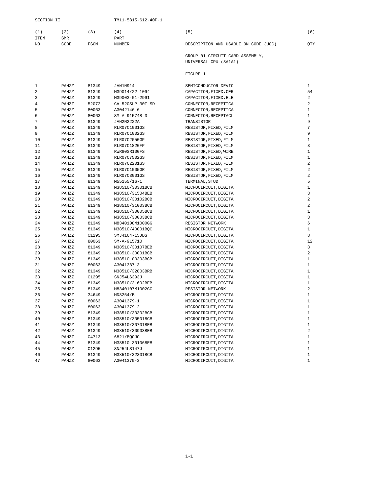<span id="page-11-0"></span>

|      | (2)        | (3)         | (4)           | ъ.                                   | (6)        |
|------|------------|-------------|---------------|--------------------------------------|------------|
| ITEM | <b>SMR</b> |             | PART          |                                      |            |
| NO.  | CODE       | <b>FSCM</b> | <b>NUMBER</b> | DESCRIPTION AND USABLE ON CODE (UOC) | <b>OTY</b> |

GROUP 01 CIRCUIT CARD ASSEMBLY, UNIVERSAL CPU (3A1A1)

#### FIGURE 1

| 1              | PAHZZ | 81349 | JAN1N914         | SEMICONDUCTOR DEVIC   | 1              |
|----------------|-------|-------|------------------|-----------------------|----------------|
| $\overline{a}$ | PAHZZ | 81349 | M39014/22-1094   | CAPACITOR, FIXED, CER | 54             |
| 3              | PAHZZ | 81349 | M39003-01-2991   | CAPACITOR, FIXED, ELE | 2              |
| 4              | PAHZZ | 52072 | CA-520SLP-30T-SD | CONNECTOR, RECEPTICA  | 2              |
| 5              | PAHZZ | 80063 | A3042146-6       | CONNECTOR, RECEPTICA  | $\mathbf{1}$   |
| 6              | PAHZZ | 80063 | $SM-A-915748-3$  | CONNECTOR, RECEPTACL  | $\mathbf{1}$   |
| 7              | PAHZZ | 81349 | JAN2N2222A       | TRANSISTOR            | 9              |
| 8              | PAHZZ | 81349 | RLR07C1001GS     | RESISTOR, FIXED, FILM | $\sqrt{ }$     |
| 9              | PAHZZ | 81349 | RLR07C1002GS     | RESISTOR, FIXED, FILM | 9              |
| 10             | PAHZZ | 81349 | RLR07C2050GP     | RESISTOR, FIXED, FILM | $\mathbf 1$    |
| 11             | PAHZZ | 81349 | RLR07C1820FP     | RESISTOR, FIXED, FILM | 3              |
| 12             | PAHZZ | 81349 | RWR80SR100FS     | RESISTOR, FIXED, WIRE | $\mathbf{1}$   |
| 13             | PAHZZ | 81349 | RLR07C7502GS     | RESISTOR, FIXED, FILM | $\mathbf{1}$   |
| 14             | PAHZZ | 81349 | RLR07C2201GS     | RESISTOR, FIXED, FILM | $\overline{a}$ |
| 15             | PAHZZ | 81349 | RLR07C1005GR     | RESISTOR, FIXED, FILM | $\overline{a}$ |
| 16             | PAHZZ | 81349 | RLR07C3001GS     | RESISTOR, FIXED, FILM | $\overline{a}$ |
| 17             | PAHZZ | 81349 | M55155/16-1      | TERMINAL, STUD        | 5              |
| 18             | PAHZZ | 81349 | M38510/30301BCB  | MICROCIRCUIT, DIGITA  | $\mathbf{1}$   |
| 19             | PAHZZ | 81349 | M38510/31504BEB  | MICROCIRCUIT, DIGITA  | 3              |
| 20             | PAHZZ | 81349 | M38510/30102BCB  | MICROCIRCUIT, DIGITA  | $\overline{a}$ |
| 21             | PAHZZ | 81349 | M38510/31003BCB  | MICROCIRCUIT, DIGITA  | $\overline{a}$ |
| 22             | PAHZZ | 81349 | M38510/30005BCB  | MICROCIRCUIT, DIGITA  | $\mathbf{1}$   |
| 23             | PAHZZ | 81349 | M38510/30003BCB  | MICROCIRCUIT, DIGITA  | 3              |
| 24             | PAHZZ | 81349 | M8340108M1000GG  | RESISTOR NETWORK      | 6              |
| 25             | PAHZZ | 81349 | M38510/40001BQC  | MICROCIRCUIT, DIGITA  | $\mathbf{1}$   |
| 26             | PAHZZ | 01295 | SMJ4164-15JDS    | MICROCIRCUIT, DIGITA  | 8              |
| 27             | PAHZZ | 80063 | SM-A-915710      | MICROCIRCUIT, DIGITA  | 12             |
| 28             | PAHZZ | 81349 | M38510/30107BEB  | MICROCIRCUIT, DIGITA  | 3              |
| 29             | PAHZZ | 81349 | M38510-30001BCB  | MICROCIRCUIT, DIGITA  | $\overline{a}$ |
| 30             | PAHZZ | 81349 | M38510-00303BCB  | MICROCIRCUIT, DIGITA  | $\mathbf{1}$   |
| 31             | PAHZZ | 80063 | A3041387-3       | MICROCIRCUIT, DIGITA  | $\mathbf{1}$   |
| 32             | PAHZZ | 81349 | M38510/32803BRB  | MICROCIRCUIT, DIGITA  | $\mathbf{1}$   |
| 33             | PAHZZ | 01295 | SNJ54LS393J      | MICROCIRCUIT, DIGITA  | $\mathbf{1}$   |
| 34             | PAHZZ | 81349 | M38510/31602BEB  | MICROCIRCUIT, DIGITA  | $\mathbf{1}$   |
| 35             | PAHZZ | 81349 | M8340107M1002GC  | RESISTOR NETWORK      | $\overline{2}$ |
| 36             | PAHZZ | 34649 | MD8254/B         | MICROCIRCUIT, DIGITA  | $\mathbf{1}$   |
| 37             | PAHZZ | 80063 | A3041379-1       | MICROCIRCUIT, DIGITA  | $\mathbf{1}$   |
| 38             | PAHZZ | 80063 | A3041379-2       | MICROCIRCUIT, DIGITA  | $\mathbf{1}$   |
| 39             | PAHZZ | 81349 | M38510/30302BCB  | MICROCIRCUIT, DIGITA  | $\mathbf{1}$   |
| 40             | PAHZZ | 81349 | M38510/30501BCB  | MICROCIRCUIT, DIGITA  | $\mathbf{1}$   |
| 41             | PAHZZ | 81349 | M38510/30701BEB  | MICROCIRCUIT, DIGITA  | $\mathbf{1}$   |
| 42             | PAHZZ | 81349 | M38510/30903BEB  | MICROCIRCUIT, DIGITA  | $\overline{a}$ |
| 43             | PAHZZ | 04713 | 6821/BQCJC       | MICROCIRCUIT, DIGITA  | $\mathbf{1}$   |
| 44             | PAHZZ | 81349 | M38510-30106BEB  | MICROCIRCUIT, DIGITA  | $\mathbf{1}$   |
| 45             | PAHZZ | 01295 | SNJ54LS147J      | MICROCIRCUIT, DIGITA  | $\mathbf{1}$   |
| 46             | PAHZZ | 81349 | M38510/32301BCB  | MICROCIRCUIT, DIGITA  | $\mathbf{1}$   |
| 47             | PAHZZ | 80063 | A3041379-3       | MICROCIRCUIT, DIGITA  | $\mathbf{1}$   |
|                |       |       |                  |                       |                |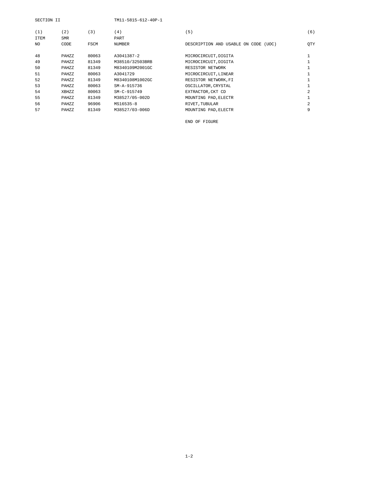| SECTION II |            |             | TM11-5815-612-40P-1 |                                      |                |
|------------|------------|-------------|---------------------|--------------------------------------|----------------|
| (1)        | (2)        | (3)         | (4)                 | (5)                                  | (6)            |
| ITEM       | <b>SMR</b> |             | PART                |                                      |                |
| NO.        | CODE       | <b>FSCM</b> | <b>NUMBER</b>       | DESCRIPTION AND USABLE ON CODE (UOC) | <b>OTY</b>     |
|            |            |             |                     |                                      |                |
| 48         | PAHZZ      | 80063       | A3041387-2          | MICROCIRCUIT, DIGITA                 |                |
| 49         | PAHZZ      | 81349       | M38510/32503BRB     | MICROCIRCUIT, DIGITA                 |                |
| 50         | PAHZZ      | 81349       | M8340109M2001GC     | RESISTOR NETWORK                     |                |
| 51         | PAHZZ      | 80063       | A3041729            | MICROCIRCUIT, LINEAR                 |                |
| 52         | PAHZZ      | 81349       | M8340108M1002GC     | RESISTOR NETWORK, FI                 |                |
| 53         | PAHZZ      | 80063       | SM-A-915736         | OSCILLATOR, CRYSTAL                  |                |
| 54         | XBHZZ      | 80063       | SM-C-915749         | EXTRACTOR, CKT CD                    | $\mathfrak{D}$ |
| 55         | PAHZZ      | 81349       | M38527/05-002D      | MOUNTING PAD, ELECTR                 |                |
| 56         | PAHZZ      | 96906       | MS16535-8           | RIVET, TUBULAR                       | 2.             |
| 57         | PAHZZ      | 81349       | M38527/03-006D      | MOUNTING PAD. ELECTR                 | 9              |
|            |            |             |                     |                                      |                |

END OF FIGURE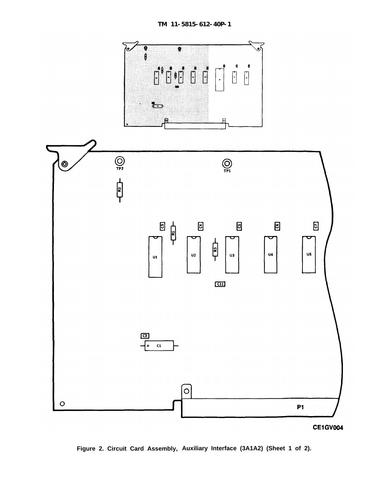<span id="page-13-0"></span>

**Figure 2. Circuit Card Assembly, Auxiliary Interface (3A1A2) (Sheet 1 of 2).**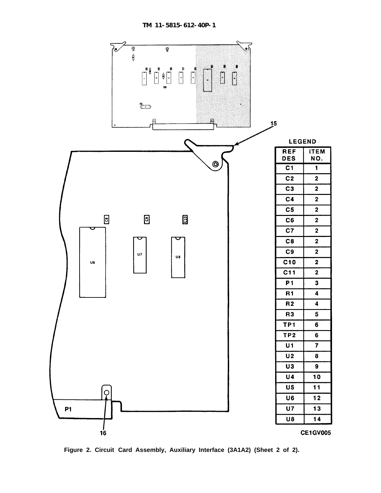

**Figure 2. Circuit Card Assembly, Auxiliary Interface (3A1A2) (Sheet 2 of 2).**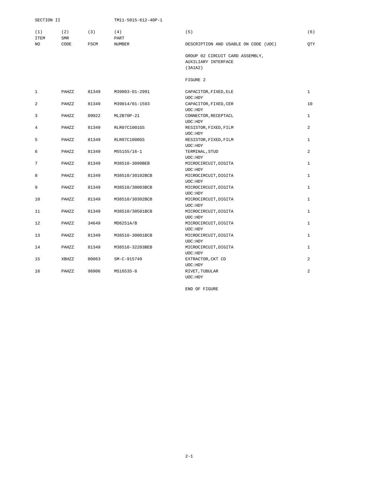<span id="page-15-0"></span>

| SECTION II     |                   |             | TM11-5815-612-40P-1 |                                      |                |
|----------------|-------------------|-------------|---------------------|--------------------------------------|----------------|
| (1)<br>ITEM    | (2)<br><b>SMR</b> | (3)         | (4)<br>PART         | (5)                                  | (6)            |
| NO.            | CODE              | <b>FSCM</b> | <b>NUMBER</b>       | DESCRIPTION AND USABLE ON CODE (UOC) | <b>OTY</b>     |
|                |                   |             |                     | GROUP 02 CIRCUIT CARD ASSEMBLY,      |                |
|                |                   |             |                     | AUXILIARY INTERFACE                  |                |
|                |                   |             |                     | (3A1A2)                              |                |
|                |                   |             |                     | FIGURE 2                             |                |
| $\mathbf 1$    | PAHZZ             | 81349       | M39003-01-2991      | CAPACITOR, FIXED, ELE                | $\mathbf{1}$   |
|                |                   |             |                     | UOC: HDY                             |                |
| $\overline{a}$ | PAHZZ             | 81349       | M39014/01-1593      | CAPACITOR, FIXED, CER                | 10             |
|                |                   |             |                     | UOC: HDY                             |                |
| 3              | PAHZZ             | 09922       | ML2B70P-21          | CONNECTOR, RECEPTACL                 | $\mathbf{1}$   |
|                |                   |             |                     | UOC: HDY                             |                |
| $\overline{4}$ | PAHZZ             | 81349       | RLR07C1001GS        | RESISTOR, FIXED, FILM                | $\overline{a}$ |
|                |                   |             |                     | UOC: HDY                             |                |
| 5              | PAHZZ             | 81349       | RLR07C1000GS        | RESISTOR, FIXED, FILM                | $\mathbf{1}$   |
|                |                   |             |                     | UOC: HDY                             |                |
| 6              | PAHZZ             | 81349       | M55155/16-1         | TERMINAL, STUD                       | $\overline{a}$ |
|                |                   |             |                     | UOC: HDY                             |                |
| $\overline{7}$ | PAHZZ             | 81349       | M38510-3090BEB      | MICROCIRCUIT, DIGITA                 | $\mathbf{1}$   |
|                |                   |             |                     | UOC: HDY                             |                |
| 8              | PAHZZ             | 81349       | M38510/30102BCB     | MICROCIRCUIT, DIGITA                 | $\mathbf{1}$   |
|                |                   |             |                     | UOC: HDY                             |                |
| 9              | PAHZZ             | 81349       | M38510/30003BCB     | MICROCIRCUIT, DIGITA                 | $\mathbf{1}$   |
|                |                   |             |                     | UOC: HDY                             |                |
| 10             | PAHZZ             | 81349       | M38510/30302BCB     | MICROCIRCUIT, DIGITA                 | $\mathbf{1}$   |
|                |                   |             |                     | UOC: HDY                             |                |
| 11             | PAHZZ             | 81349       | M38510/30501BCB     | MICROCIRCUIT, DIGITA                 | $\mathbf{1}$   |
|                |                   |             |                     | UOC: HDY                             |                |
| 12             | PAHZZ             | 34649       | MD8251A/B           | MICROCIRCUIT, DIGITA                 | $\mathbf{1}$   |
|                |                   |             |                     | UOC: HDY                             |                |
| 13             | PAHZZ             | 81349       | M38510-30001BCB     | MICROCIRCUIT, DIGITA                 | $\mathbf{1}$   |
|                |                   |             |                     | UOC: HDY                             |                |
| 14             | PAHZZ             | 81349       | M38510-32203BEB     | MICROCIRCUIT, DIGITA                 | 1              |
|                |                   | 80063       |                     | UOC: HDY                             | 2              |
| 15             | XBHZZ             |             | SM-C-915749         | EXTRACTOR, CKT CD<br>UOC: HDY        |                |
| 16             | PAHZZ             | 96906       | MS16535-8           | RIVET, TUBULAR                       | $\overline{a}$ |
|                |                   |             |                     | UOC: HDY                             |                |
|                |                   |             |                     |                                      |                |

END OF FIGURE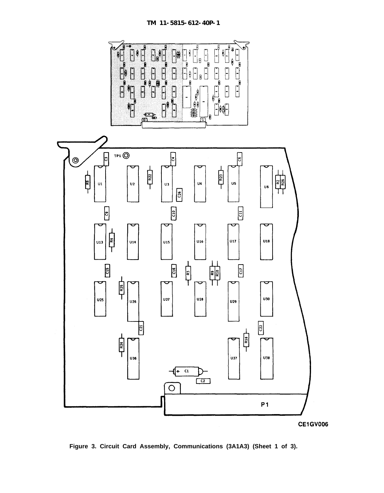<span id="page-16-0"></span>

**Figure 3. Circuit Card Assembly, Communications (3A1A3) (Sheet 1 of 3).**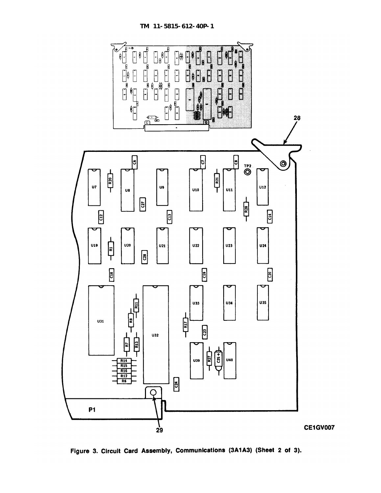

Figure 3. Circuit Card Assembly, Communications (3A1A3) (Sheet 2 of 3).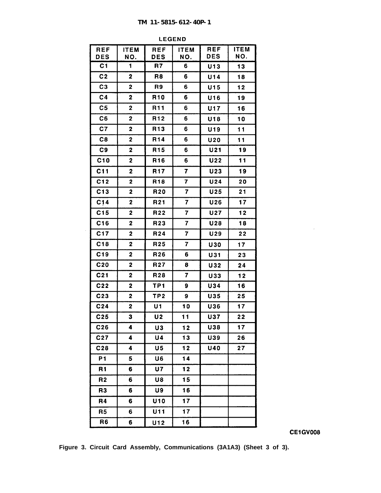| <b>REF</b>      | <b>ITEM</b>             | <b>REF</b>      | <b>ITEM</b>             | <b>REF</b>      | <b>ITEM</b> |
|-----------------|-------------------------|-----------------|-------------------------|-----------------|-------------|
| <b>DES</b>      | NO.                     | <b>DES</b>      | NO.                     | <b>DES</b>      | NO.         |
| C <sub>1</sub>  | 1                       | R7              | 6.                      | U13             | 13          |
| C <sub>2</sub>  | $\mathbf 2$             | R <sub>8</sub>  | 6                       | U14             | 18          |
| C <sub>3</sub>  | $\overline{\mathbf{c}}$ | R9              | 6                       | U15             | 12          |
| C <sub>4</sub>  | $\mathbf 2$             | R <sub>10</sub> | 6                       | U16             | 19          |
| C <sub>5</sub>  | $\mathbf 2$             | R <sub>11</sub> | 6                       | <b>U17</b>      | 16          |
| C6              | $\mathbf 2$             | R <sub>12</sub> | 6                       | U18             | 10          |
| C7              | $\mathbf{2}$            | R <sub>13</sub> | 6                       | U19             | 11          |
| C8              | 2                       | R <sub>14</sub> | 6                       | <b>U20</b>      | 11          |
| C9              | 2                       | R <sub>15</sub> | 6                       | U21             | 19          |
| C10             | 2                       | R <sub>16</sub> | 6                       | U22             | 11          |
| C11             | $\mathbf 2$             | <b>R17</b>      | $\overline{7}$          | U23             | 19          |
| C12             | 2                       | R <sub>18</sub> | $\overline{\mathbf{z}}$ | U <sub>24</sub> | 20          |
| C13             | $\mathbf{2}$            | R <sub>20</sub> | $\overline{\mathbf{7}}$ | U25             | 21          |
| C14             | $\mathbf 2$             | R <sub>21</sub> | $\overline{\mathbf{7}}$ | U26             | 17          |
| C15             | 2                       | R <sub>22</sub> | $\overline{\mathbf{7}}$ | <b>U27</b>      | 12          |
| C16             | 2                       | R <sub>23</sub> | 7                       | U28             | 18          |
| C <sub>17</sub> | 2                       | R <sub>24</sub> | 7                       | U29             | 22          |
| C18             | 2                       | R <sub>25</sub> | $\overline{7}$          | <b>U30</b>      | 17          |
| C19             | $\overline{\mathbf{2}}$ | R <sub>26</sub> | 6                       | U31             | 23          |
| C <sub>20</sub> | $\mathbf 2$             | R <sub>27</sub> | 8                       | U32             | 24          |
| C <sub>21</sub> | 2                       | R28             | 7                       | U33             | 12          |
| C <sub>22</sub> | $\mathbf 2$             | TP1             | 9                       | U34             | 16          |
| C <sub>23</sub> | $\mathbf 2$             | TP <sub>2</sub> | 9                       | U35             | 25          |
| C <sub>24</sub> | $\mathbf 2$             | U1              | 10                      | U36             | 17          |
| C <sub>25</sub> | 3                       | U <sub>2</sub>  | 11                      | <b>U37</b>      | 22          |
| C <sub>26</sub> | 4                       | U3              | 12                      | <b>U38</b>      | 17          |
| C <sub>27</sub> | 4                       | U4              | 13                      | U39             | 26          |
| C <sub>28</sub> | 4                       | U5              | $12$                    | <b>U40</b>      | 27          |
| <b>P1</b>       | 5                       | U6              | 14                      |                 |             |
| R <sub>1</sub>  | 6                       | <b>U7</b>       | 12                      |                 |             |
| R <sub>2</sub>  | 6                       | U8              | 15                      |                 |             |
| R <sub>3</sub>  | 6                       | U9              | 16                      |                 |             |
| R4              | 6                       | U10             | 17                      |                 |             |
| R <sub>5</sub>  | 6                       | U11             | 17                      |                 |             |
| R6              | 6                       | U12             | 16                      |                 |             |

**LEGEND** 

 $\hat{\mathcal{A}}$ 

**Figure 3. Circuit Card Assembly, Communications (3A1A3) (Sheet 3 of 3).**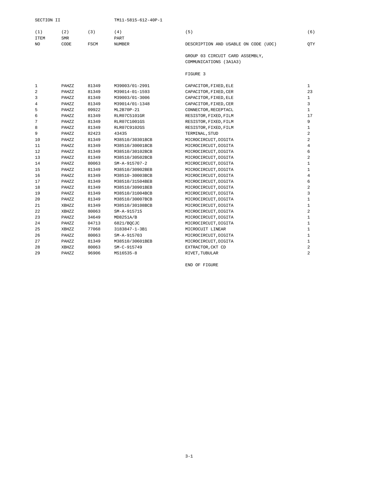<span id="page-19-0"></span>

| (2)<br>(1)<br><b>ITEM</b><br><b>SMR</b> | (3)  | 4)<br>PART | [5]                                                       | (6)        |
|-----------------------------------------|------|------------|-----------------------------------------------------------|------------|
| NO.<br>CODE                             | FSCM | NUMBER     | DESCRIPTION AND USABLE ON CODE (UOC)                      | <b>OTY</b> |
|                                         |      |            | GROUP 03 CIRCUIT CARD ASSEMBLY,<br>COMMUNICATIONS (3A1A3) |            |

FIGURE 3

| 1  | PAHZZ | 81349 | M39003/01-2991  | CAPACITOR, FIXED, ELE | $\mathbf{1}$   |
|----|-------|-------|-----------------|-----------------------|----------------|
| 2  | PAHZZ | 81349 | M39014-01-1593  | CAPACITOR, FIXED, CER | 23             |
| 3  | PAHZZ | 81349 | M39003/01-3006  | CAPACITOR, FIXED, ELE | 1              |
| 4  | PAHZZ | 81349 | M39014/01-1348  | CAPACITOR, FIXED, CER | 3              |
| 5  | PAHZZ | 09922 | ML2B70P-21      | CONNECTOR, RECEPTACL  | $\mathbf{1}$   |
| 6  | PAHZZ | 81349 | RLR07C5101GR    | RESISTOR, FIXED, FILM | 17             |
| 7  | PAHZZ | 81349 | RLR07C1001GS    | RESISTOR, FIXED, FILM | 9              |
| 8  | PAHZZ | 81349 | RLR07C9102GS    | RESISTOR, FIXED, FILM | $\mathbf{1}$   |
| 9  | PAHZZ | 82423 | 43435           | TERMINAL, STUD        | $\overline{a}$ |
| 10 | PAHZZ | 81349 | M38510/30301BCB | MICROCIRCUIT, DIGITA  | $\overline{a}$ |
| 11 | PAHZZ | 81349 | M38510/30001BCB | MICROCIRCUIT, DIGITA  | 4              |
| 12 | PAHZZ | 81349 | M38510/30102BCB | MICROCIRCUIT, DIGITA  | 6              |
| 13 | PAHZZ | 81349 | M38510/30502BCB | MICROCIRCUIT, DIGITA  | 2              |
| 14 | PAHZZ | 80063 | $SM-A-915707-2$ | MICROCIRCUIT, DIGITA  | 1              |
| 15 | PAHZZ | 81349 | M38510/30902BEB | MICROCIRCUIT, DIGITA  | $\mathbf{1}$   |
| 16 | PAHZZ | 81349 | M38510-30003BCB | MICROCIRCUIT, DIGITA  | 4              |
| 17 | PAHZZ | 81349 | M38510/31504BEB | MICROCIRCUIT, DIGITA  | 6              |
| 18 | PAHZZ | 81349 | M38510/30901BEB | MICROCIRCUIT, DIGITA  | 2              |
| 19 | PAHZZ | 81349 | M38510/31004BCB | MICROCIRCUIT, DIGITA  | 3              |
| 20 | PAHZZ | 81349 | M38510/30007BCB | MICROCIRCUIT, DIGITA  | $\mathbf{1}$   |
| 21 | XBHZZ | 81349 | M38510/30108BCB | MICROCIRCUIT, DIGITA  | 1              |
| 22 | XBHZZ | 80063 | SM-A-915715     | MICROCIRCUIT, DIGITA  | 2              |
| 23 | PAHZZ | 34649 | MD8251A/B       | MICROCIRCUIT, DIGITA  | 1              |
| 24 | PAHZZ | 04713 | 6821/BOCJC      | MICROCIRCUIT, DIGITA  | 1              |
| 25 | XBHZZ | 77068 | 3183847-1-3B1   | MICROCUIT LINEAR      | 1              |
| 26 | PAHZZ | 80063 | SM-A-915703     | MICROCIRCUIT, DIGITA  | 1              |
| 27 | PAHZZ | 81349 | M38510/30601BEB | MICROCIRCUIT, DIGITA  | 1              |
| 28 | XBHZZ | 80063 | SM-C-915749     | EXTRACTOR.CKT CD      | 2              |
| 29 | PAHZZ | 96906 | MS16535-8       | RIVET, TUBULAR        | $\overline{a}$ |
|    |       |       |                 |                       |                |

END OF FIGURE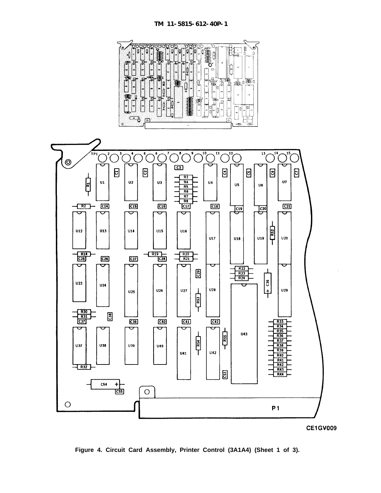

<span id="page-20-0"></span>

**Figure 4. Circuit Card Assembly, Printer Control (3A1A4) (Sheet 1 of 3).**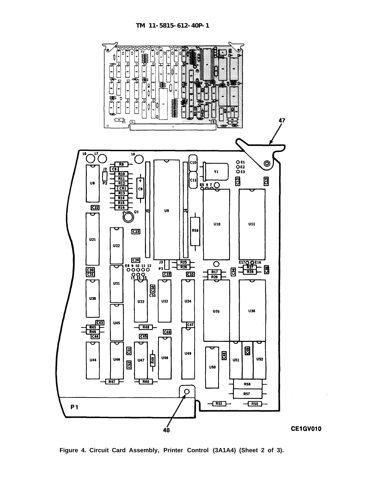

**Figure 4. Circuit Card Assembly, Printer Control (3A1A4) (Sheet 2 of 3).**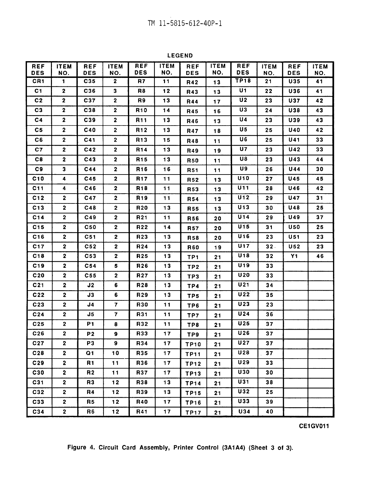**LEGEND** 

| <b>REF</b><br><b>DES</b> | <b>ITEM</b><br>NO.      | <b>REF</b><br><b>DES</b> | <b>ITEM</b><br>NO.      | <b>REF</b><br><b>DES</b> | <b>ITEM</b><br>NO. | <b>REF</b><br><b>DES</b> | <b>ITEM</b><br>NO. | <b>REF</b><br><b>DES</b> | <b>ITEM</b><br>NO. | <b>REF</b><br><b>DES</b> | <b>ITEM</b><br>NO. |
|--------------------------|-------------------------|--------------------------|-------------------------|--------------------------|--------------------|--------------------------|--------------------|--------------------------|--------------------|--------------------------|--------------------|
| CR <sub>1</sub>          | 1                       | C35                      | $\mathbf{2}$            | R7                       | 11                 | R42                      | 13                 | TP18                     | 21                 | <b>U35</b>               | 41                 |
| C1                       | $\mathbf{2}$            | C36                      | 3                       | R8                       | $12$               | R43                      | 13                 | U1                       | 22                 | U36                      | 41                 |
| C <sub>2</sub>           | $\mathbf{2}$            | C37                      | $\mathbf{2}$            | R9                       | 13                 | <b>R44</b>               | 17                 | U <sub>2</sub>           | 23                 | <b>U37</b>               | 42                 |
| C <sub>3</sub>           | $\mathbf 2$             | C38                      | $\mathbf{2}$            | R <sub>10</sub>          | 14                 |                          |                    | U3                       | 24                 | <b>U38</b>               | 43                 |
| C <sub>4</sub>           | $\overline{2}$          | C39                      | $\mathbf{2}$            | <b>R11</b>               | 13                 | R45<br>R46               | 16<br>13           | U4                       | 23                 | <b>U39</b>               | 43                 |
| C5                       | $\overline{2}$          | C40                      | $\mathbf{2}$            | R <sub>12</sub>          | 13                 |                          |                    | U5                       | 25                 | <b>U40</b>               | 42                 |
| C6                       | $\overline{2}$          | C <sub>41</sub>          | $\overline{2}$          | R <sub>13</sub>          | 15                 | <b>R47</b>               | 18                 | U6                       | 25                 | U41                      | 33                 |
| C7                       | $\mathbf{2}$            | C42                      | $\mathbf{2}$            | <b>R14</b>               | $13$               | R48                      | 11                 | U7                       | 23                 | <b>U42</b>               | 33                 |
|                          |                         |                          |                         |                          |                    | R49                      | 19                 | U8                       |                    |                          |                    |
| C8                       | $\mathbf{2}$            | C43                      | $\mathbf{2}$            | R <sub>15</sub>          | 13                 | <b>R50</b>               | 11                 |                          | 23                 | U43                      | 44                 |
| C9                       | 3                       | C44                      | $\mathbf{2}$            | R <sub>16</sub>          | 16                 | <b>R51</b>               | 11                 | U9<br>$\overline{U}$ 10  | 26                 | <b>U44</b>               | 30                 |
| C10                      | 4                       | C45                      | $\mathbf{2}$            | <b>R17</b>               | 11                 | <b>R52</b>               | 13                 |                          | 27                 | <b>U45</b>               | 45                 |
| C11                      | 4                       | C46                      | $\mathbf{2}$            | R <sub>18</sub>          | 11                 | R53                      | 13                 | U11                      | 28                 | <b>U46</b>               | 42                 |
| C12                      | $\overline{\mathbf{2}}$ | C47                      | $\overline{\mathbf{2}}$ | R <sub>19</sub>          | 11                 | R54                      | 13                 | U12                      | 29                 | <b>U47</b>               | 31                 |
| C13                      | $\mathbf 2$             | C48                      | $\mathbf{2}$            | R <sub>20</sub>          | 13                 | <b>R55</b>               | 13                 | U <sub>13</sub>          | 30                 | <b>U48</b>               | 25                 |
| C14                      | $\mathbf{2}$            | C49                      | $\mathbf{2}$            | R <sub>21</sub>          | 11                 | <b>R56</b>               | 20                 | <b>U14</b>               | 29                 | <b>U49</b>               | 37                 |
| C15                      | $\mathbf{2}$            | <b>C50</b>               | $\mathbf{2}$            | R <sub>22</sub>          | 14                 | <b>R57</b>               | 20                 | U15                      | 31                 | <b>U50</b>               | 25                 |
| C16                      | $\mathbf{2}$            | C <sub>51</sub>          | $\mathbf{2}$            | R <sub>23</sub>          | 13                 | <b>R58</b>               | 20                 | U16                      | 23                 | U51                      | 23                 |
| C <sub>17</sub>          | $\mathbf{2}$            | C <sub>52</sub>          | $\overline{\mathbf{2}}$ | R <sub>24</sub>          | 13                 | <b>R60</b>               | 19                 | U17                      | 32.                | U <sub>52</sub>          | 23                 |
| C18                      | $\overline{\mathbf{c}}$ | C53                      | $\overline{2}$          | R <sub>25</sub>          | 13                 | TP <sub>1</sub>          | 21                 | U18                      | 32                 | <b>Y1</b>                | 46                 |
| C19                      | $\overline{\mathbf{2}}$ | C <sub>54</sub>          | 5                       | R <sub>26</sub>          | 13                 | TP <sub>2</sub>          | 21                 | U <sub>19</sub>          | 33                 |                          |                    |
| C20                      | $\overline{\mathbf{2}}$ | C55                      | $\mathbf{2}$            | <b>R27</b>               | 13                 | TP3                      | 21                 | <b>U20</b>               | 33                 |                          |                    |
| C <sub>21</sub>          | $\mathbf{2}$            | J2                       | 6                       | R <sub>28</sub>          | 13                 | TP4                      | 21                 | U21                      | 34                 |                          |                    |
| C22                      | $\boldsymbol{2}$        | J3                       | 6                       | R <sub>29</sub>          | 13                 | TP5                      | 21                 | U22                      | 35                 |                          |                    |
| C <sub>23</sub>          | $\mathbf{2}$            | J4                       | $\overline{7}$          | <b>R30</b>               | 11                 | TP <sub>6</sub>          | 21                 | U23                      | 23                 |                          |                    |
| C <sub>24</sub>          | $\mathbf{2}$            | J5                       | $\mathbf{7}$            | R31                      | 11                 | TP7                      | 21                 | U <sub>24</sub>          | 36                 |                          |                    |
| C <sub>25</sub>          | $\overline{\mathbf{2}}$ | P1                       | $\bf{8}$                | R32                      | 11                 | TP8                      | 21                 | U25                      | 37                 |                          |                    |
| C26                      | $\overline{\mathbf{2}}$ | P <sub>2</sub>           | $\mathbf{9}$            | R33                      | 17                 | TP9                      | 21                 | U26                      | 37                 |                          |                    |
| C <sub>27</sub>          | $\boldsymbol{2}$        | P <sub>3</sub>           | 9                       | R34                      | 17                 | <b>TP10</b>              | 21                 | U27                      | 37                 |                          |                    |
| C28                      | $\mathbf{2}$            | Q1                       | 10                      | R35                      | 17                 | <b>TP11</b>              | 21                 | $\overline{U}$ 28        | 37                 |                          |                    |
| C29                      | $\mathbf{2}$            | <b>R1</b>                | 11                      | R36                      | 17                 | <b>TP12</b>              | 21                 | U29                      | 33                 |                          |                    |
| C30                      | $\overline{2}$          | R <sub>2</sub>           | 11                      | <b>R37</b>               | 17                 | <b>TP13</b>              | 21                 | U30                      | 30                 |                          |                    |
| C31                      | $\overline{\mathbf{2}}$ | R <sub>3</sub>           | 12                      | R38                      | $13$               | <b>TP14</b>              | 21                 | U31                      | 38                 |                          |                    |
| C32                      | $\mathbf{2}$            | R4                       | 12                      | R39                      | 13                 | <b>TP15</b>              | 21                 | U32                      | 25                 |                          |                    |
| C33                      | $\mathbf{2}$            | R5                       | $12$                    | R40                      | 17                 | <b>TP16</b>              | 21                 | <b>U33</b>               | 39                 |                          |                    |
| C34                      | $\overline{\mathbf{2}}$ | R <sub>6</sub>           | 12                      | <b>R41</b>               | 17                 | <b>TP17</b>              | 21                 | U34                      | 40                 |                          |                    |

Figure 4. Circuit Card Assembly, Printer Control (3A1A4) (Sheet 3 of 3).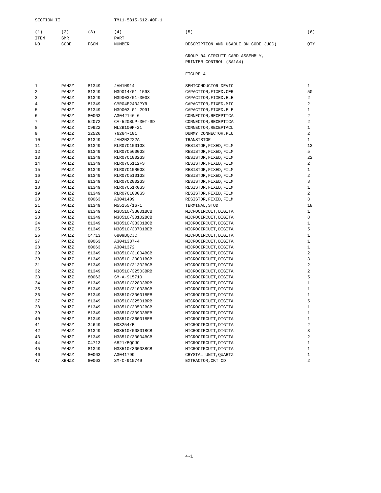<span id="page-23-0"></span>

| (1)         | (2)        |      |               | 5                                    | (6) |
|-------------|------------|------|---------------|--------------------------------------|-----|
| <b>ITEM</b> | <b>SMR</b> |      | PART          |                                      |     |
| NO          | CODE       | FSCM | <b>NUMBER</b> | DESCRIPTION AND USABLE ON CODE (UOC) | OTY |

GROUP 04 CIRCUIT CARD ASSEMBLY, PRINTER CONTROL (3A1A4)

#### FIGURE 4

| $\mathbf{1}$   | PAHZZ | 81349 | JAN1N914         | SEMICONDUCTOR DEVIC   | 1              |
|----------------|-------|-------|------------------|-----------------------|----------------|
| $\overline{a}$ | PAHZZ | 81349 | M39014/01-1593   | CAPACITOR, FIXED, CER | 50             |
| 3              | PAHZZ | 81349 | M39003/01-3003   | CAPACITOR, FIXED, ELE | $\overline{a}$ |
| 4              | PAHZZ | 81349 | CMR04E240JPYR    | CAPACITOR, FIXED, MIC | $\overline{a}$ |
| 5              | PAHZZ | 81349 | M39003-01-2991   | CAPACITOR, FIXED, ELE | $\mathbf{1}$   |
| 6              | PAHZZ | 80063 | A3042146-6       | CONNECTOR, RECEPTICA  | 2              |
| 7              | PAHZZ | 52072 | CA-520SLP-30T-SD | CONNECTOR, RECEPTICA  | $\overline{a}$ |
| 8              | PAHZZ | 09922 | ML2B100P-21      | CONNECTOR, RECEPTACL  | $\mathbf{1}$   |
| 9              | PAHZZ | 22526 | 76264-101        | DUMMY CONNECTOR, PLU  | $\overline{a}$ |
| 10             | PAHZZ | 81349 | JAN2N2222A       | TRANSISTOR            | $\mathbf{1}$   |
| 11             | PAHZZ | 81349 | RLR07C1001GS     | RESISTOR, FIXED, FILM | 13             |
| 12             | PAHZZ | 81349 | RLR07C5600GS     | RESISTOR, FIXED, FILM | 5              |
| 13             | PAHZZ | 81349 | RLR07C1002GS     | RESISTOR, FIXED, FILM | 22             |
| 14             | PAHZZ | 81349 | RLR07C5112FS     | RESISTOR, FIXED, FILM | 2              |
| 15             | PAHZZ | 81349 | RLR07C10R0GS     | RESISTOR, FIXED, FILM | $\mathbf{1}$   |
| 16             | PAHZZ | 81349 | RLR07C5101GS     | RESISTOR, FIXED, FILM | $\overline{a}$ |
| 17             | PAHZZ | 81349 | RLR07C2002GS     | RESISTOR, FIXED, FILM | 8              |
| 18             | PAHZZ | 81349 | RLR07C51R0GS     | RESISTOR, FIXED, FILM | $\mathbf{1}$   |
| 19             | PAHZZ | 81349 | RLR07C1000GS     | RESISTOR, FIXED, FILM | 2              |
| 20             | PAHZZ | 80063 | A3041409         | RESISTOR, FIXED, FILM | 3              |
| 21             | PAHZZ | 81349 | M55155/16-1      | TERMINAL, STUD        | 18             |
| 22             | PAHZZ | 81349 | M38510/33001BCB  | MICROCIRCUIT, DIGITA  | $\mathbf{1}$   |
| 23             | PAHZZ | 81349 | M38510/30102BCB  | MICROCIRCUIT, DIGITA  | 8              |
| 24             | PAHZZ | 81349 | M38510/33301BCB  | MICROCIRCUIT, DIGITA  | $1\,$          |
| 25             | PAHZZ | 81349 | M38510/30701BEB  | MICROCIRCUIT, DIGITA  | 5              |
| 26             | PAHZZ | 04713 | 6809BOCJC        | MICROCIRCUIT, DIGITA  | $\mathbf{1}$   |
| 27             | PAHZZ | 80063 | A3041387-4       | MICROCIRCUIT, DIGITA  | $\mathbf{1}$   |
| 28             | PAHZZ | 80063 | A3041372         | MICROCIRCUIT, DIGITA  | $\mathbf{1}$   |
| 29             | PAHZZ | 81349 | M38510/31004BCB  | MICROCIRCUIT, DIGITA  | $\overline{a}$ |
| 30             | PAHZZ | 81349 | M38510-30001BCB  | MICROCIRCUIT, DIGITA  | 3              |
| 31             | PAHZZ | 81349 | M38510/31302BCB  | MICROCIRCUIT, DIGITA  | $\overline{a}$ |
| 32             | PAHZZ | 81349 | M38510/32503BRB  | MICROCIRCUIT, DIGITA  | $\overline{a}$ |
| 33             | PAHZZ | 80063 | SM-A-915710      | MICROCIRCUIT, DIGITA  | 5              |
| 34             | PAHZZ | 81349 | M38510/32803BRB  | MICROCIRCUIT, DIGITA  | $\mathbf{1}$   |
| 35             | PAHZZ | 81349 | M38510/31003BCB  | MICROCIRCUIT, DIGITA  | $\mathbf{1}$   |
| 36             | PAHZZ | 81349 | M38510/30601BEB  | MICROCIRCUIT, DIGITA  | $\mathbf{1}$   |
| 37             | PAHZZ | 81349 | M38510/32501BRB  | MICROCIRCUIT, DIGITA  | 5              |
| 38             | PAHZZ | 81349 | M38510/30502BCB  | MICROCIRCUIT, DIGITA  | $\mathbf{1}$   |
| 39             | PAHZZ | 81349 | M38510/30903BEB  | MICROCIRCUIT, DIGITA  | $\mathbf{1}$   |
| 40             | PAHZZ | 81349 | M38510/36001BEB  | MICROCIRCUIT, DIGITA  | $1\,$          |
| 41             | PAHZZ | 34649 | MD8254/B         | MICROCIRCUIT, DIGITA  | $\overline{a}$ |
| 42             | PAHZZ | 81349 | M38510/00801BCB  | MICROCIRCUIT, DIGITA  | 3              |
| 43             | PAHZZ | 81349 | M38510/30004BCB  | MICROCIRCUIT, DIGITA  | 2              |
| 44             | PAHZZ | 04713 | 6821/BOCJC       | MICROCIRCUIT, DIGITA  | $\mathbf{1}$   |
| 45             | PAHZZ | 81349 | M38510/30003BCB  | MICROCIRCUIT, DIGITA  | $1\,$          |
| 46             | PAHZZ | 80063 | A3041799         | CRYSTAL UNIT, QUARTZ  | $\mathbf{1}$   |
| 47             | XBHZZ | 80063 | SM-C-915749      | EXTRACTOR, CKT CD     | $\overline{a}$ |
|                |       |       |                  |                       |                |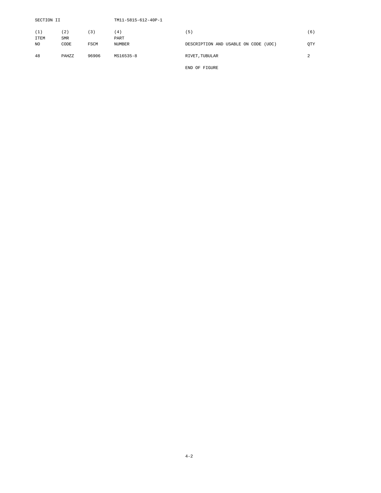| SECTION II  |            |       | TM11-5815-612-40P-1 |                                         |                |
|-------------|------------|-------|---------------------|-----------------------------------------|----------------|
| (1)         | 2)         | 〔3〕   | (4)                 | (5)                                     | (6)            |
| <b>ITEM</b> | <b>SMR</b> |       | PART                |                                         |                |
| NO.         | CODE       | FSCM  | <b>NUMBER</b>       | DESCRIPTION AND USABLE ON CODE<br>(UOC) | QTY            |
| 48          | PAHZZ      | 96906 | MS16535-8           | RIVET, TUBULAR                          | $\mathfrak{D}$ |
|             |            |       |                     | END OF FIGURE                           |                |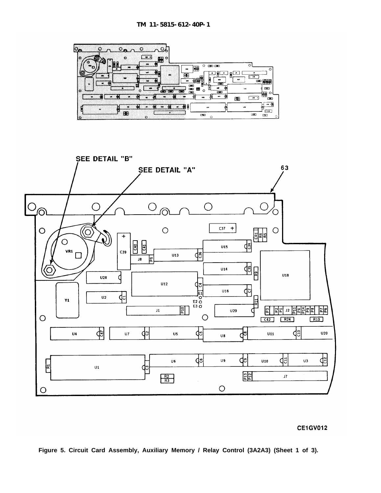<span id="page-25-0"></span>



**Figure 5. Circuit Card Assembly, Auxiliary Memory / Relay Control (3A2A3) (Sheet 1 of 3).**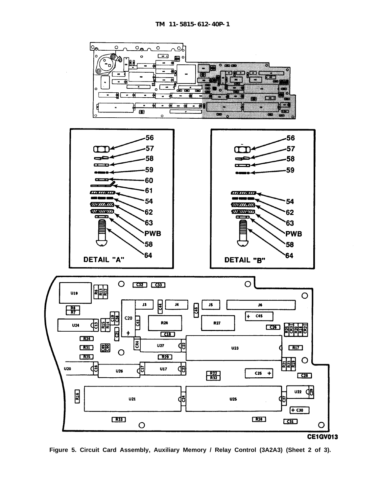

**Figure 5. Circuit Card Assembly, Auxiliary Memory / Relay Control (3A2A3) (Sheet 2 of 3).**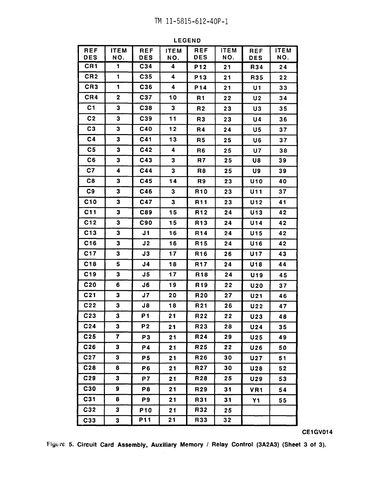**REF ITEM REF REF ITEM ITEM ITEM REF DES** NO. **DES** NO. **DES** NO. **DES** NO.  $CR1$  $C<sub>34</sub>$  $\blacksquare$ 4 P<sub>12</sub>  $21$ R34 24 CR<sub>2</sub>  $\mathbf{1}$ C35 4 P<sub>13</sub>  $21$ R35  $22$ CR<sub>3</sub>  $\blacksquare$ C36 4 **P14**  $21$  $U1$ 33 CR4  $\overline{2}$ C37 10  $22$ **R1**  $U<sub>2</sub>$ 34  $C<sub>1</sub>$  $\overline{\mathbf{3}}$ C38  $\overline{\mathbf{3}}$  $R<sub>2</sub>$ 23 U3  $35$  $C<sub>2</sub>$  $\overline{\mathbf{3}}$  $C39$  $11$  $U<sub>4</sub>$ R<sub>3</sub> 23 36  $C<sub>3</sub>$  $\overline{\mathbf{3}}$  $C40$  $12$  $R4$  $24$ **U5**  $37$  $C<sub>4</sub>$  $\mathbf{3}$  $C<sub>41</sub>$  $13$  $R<sub>5</sub>$ 25 U6  $37$  $C<sub>5</sub>$  $\mathbf{3}$  $C42$  $\overline{\mathbf{4}}$ R<sub>6</sub>  $25$ **U7** 38  $C6$  $\overline{\mathbf{3}}$ C43  $\overline{\mathbf{3}}$ R7 25 U8 39  $C<sub>7</sub>$ 4  $C44$ 3 25 U9 R<sub>8</sub> 39 C<sub>8</sub>  $\overline{\mathbf{3}}$  $C45$ 14 **U10** 40 R9 23 C<sub>9</sub>  $\overline{\mathbf{3}}$ C46  $\overline{\mathbf{3}}$ **R10**  $U$ 11  $37$ 23  $C10$  $\mathbf{3}$ C47  $\overline{\mathbf{3}}$ **R11** 23 **U12** 41  $C11$  $\overline{\mathbf{3}}$ C89 15 42 R<sub>12</sub> 24 U13  $C12$  $\overline{\mathbf{3}}$ C90  $15$ **R13**  $U14$  $24$ 42  $C13$  $\overline{\mathbf{3}}$  $J1$ 16 R<sub>14</sub> **U15**  $24$ 42  $C16$  $\overline{\mathbf{3}}$  $J2$ 16 R<sub>15</sub>  $24$ U16 42 C17  $\overline{\mathbf{3}}$  $J3$  $17$ R16 **U17** 26 43  $C18$ 5  $J4$ **R17** 18  $24$ U18 44 C<sub>19</sub>  $\overline{\mathbf{3}}$  $J<sub>5</sub>$  $17$ R<sub>18</sub>  $24$ **U19** 45  $C<sub>20</sub>$ 6 J6 19 R<sub>19</sub>  $22$  $U20$  $37$  $C<sub>21</sub>$ 3  $J7$  $20$ R20  $27$  $U21$ 46  $C<sub>22</sub>$ 3  $J8$ 18 R<sub>21</sub> 26 **U22** 47  $C<sub>23</sub>$  $\overline{\mathbf{3}}$ **P1**  $21$ R22  $22$ **U23** 48  $C<sub>24</sub>$  $\mathbf{3}$  $P<sub>2</sub>$ R<sub>23</sub>  $21$ 28  $U24$ 35  $\overline{\mathbf{z}}$  $C<sub>25</sub>$ R24 29 P<sub>3</sub>  $21$  $U<sub>25</sub>$ 49  $C<sub>26</sub>$  $\mathbf{3}$ **P4** 21 R<sub>25</sub>  $22$  $U26$ 50 C<sub>27</sub> 3 P<sub>5</sub> R<sub>26</sub> 30  $21$ **U27**  $51$  $C<sub>28</sub>$ 8 **P6** R<sub>27</sub> 30 **U28**  $21$ 52 C<sub>29</sub> 3 R28 25 P7  $21$ **U29** 53 C30 9 P<sub>8</sub>  $21$ R<sub>29</sub>  $31$ VR<sub>1</sub> 54 C31 8 P<sub>9</sub>  $21$ R31  $31$  $Y1$ 55 C32 3 P10 R32  $21$ 25  $P11$  $\overline{21}$ R33 32 C33  $\overline{\mathbf{3}}$ 

**LEGEND** 

Figure 5. Circuit Card Assembly, Auxiliary Memory / Relay Control (3A2A3) (Sheet 3 of 3).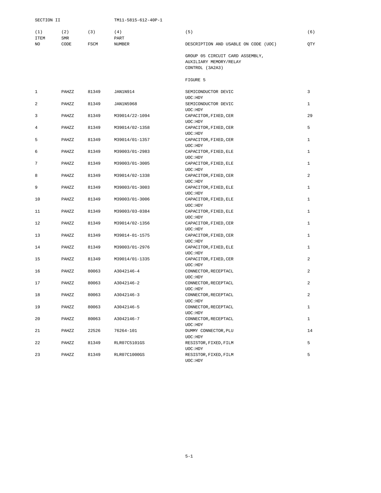<span id="page-28-0"></span>

| SECTION II         |                   |             | TM11-5815-612-40P-1 |                                                                              |                |
|--------------------|-------------------|-------------|---------------------|------------------------------------------------------------------------------|----------------|
| (1)<br><b>ITEM</b> | (2)<br><b>SMR</b> | (3)         | (4)<br>PART         | (5)                                                                          | (6)            |
| NO                 | CODE              | <b>FSCM</b> | <b>NUMBER</b>       | DESCRIPTION AND USABLE ON CODE (UOC)                                         | QTY            |
|                    |                   |             |                     | GROUP 05 CIRCUIT CARD ASSEMBLY,<br>AUXILIARY MEMORY/RELAY<br>CONTROL (3A2A3) |                |
|                    |                   |             |                     | FIGURE 5                                                                     |                |
| 1                  | PAHZZ             | 81349       | JAN1N914            | SEMICONDUCTOR DEVIC<br>UOC: HDY                                              | 3              |
| 2                  | PAHZZ             | 81349       | <b>JAN1N5968</b>    | SEMICONDUCTOR DEVIC<br>UOC: HDY                                              | 1              |
| 3                  | PAHZZ             | 81349       | M39014/22-1094      | CAPACITOR, FIXED, CER<br>UOC: HDY                                            | 29             |
| $\overline{4}$     | PAHZZ             | 81349       | M39014/02-1358      | CAPACITOR, FIXED, CER<br>UOC: HDY                                            | 5              |
| 5                  | PAHZZ             | 81349       | M39014/01-1357      | CAPACITOR, FIXED, CER<br>UOC: HDY                                            | $\mathbf{1}$   |
| 6                  | PAHZZ             | 81349       | M39003/01-2983      | CAPACITOR, FIXED, ELE<br>UOC: HDY                                            | $\mathbf{1}$   |
| 7                  | PAHZZ             | 81349       | M39003/01-3005      | CAPACITOR, FIXED, ELE<br>UOC: HDY                                            | 1              |
| 8                  | PAHZZ             | 81349       | M39014/02-1338      | CAPACITOR, FIXED, CER<br>UOC: HDY                                            | $\overline{a}$ |
| 9                  | PAHZZ             | 81349       | M39003/01-3003      | CAPACITOR, FIXED, ELE<br>UOC: HDY                                            | 1              |
| 10                 | PAHZZ             | 81349       | M39003/01-3006      | CAPACITOR, FIXED, ELE<br>UOC: HDY                                            | $\mathbf{1}$   |
| 11                 | PAHZZ             | 81349       | M39003/03-0384      | CAPACITOR, FIXED, ELE<br>UOC: HDY                                            | $\mathbf{1}$   |
| 12                 | PAHZZ             | 81349       | M39014/02-1356      | CAPACITOR, FIXED, CER<br>UOC: HDY                                            | $\mathbf{1}$   |
| 13                 | PAHZZ             | 81349       | M39014-01-1575      | CAPACITOR, FIXED, CER<br>UOC: HDY                                            | $\mathbf{1}$   |
| 14                 | PAHZZ             | 81349       | M39003/01-2976      | CAPACITOR, FIXED, ELE<br>UOC: HDY                                            | 1              |
| 15                 | PAHZZ             | 81349       | M39014/01-1335      | CAPACITOR, FIXED, CER<br>UOC: HDY                                            | 2              |
| 16                 | PAHZZ             | 80063       | A3042146-4          | CONNECTOR, RECEPTACL<br>UOC: HDY                                             | $\overline{a}$ |
| 17                 | PAHZZ             | 80063       | A3042146-2          | CONNECTOR, RECEPTACL<br>UOC: HDY                                             | $\overline{a}$ |
| 18                 | PAHZZ             | 80063       | A3042146-3          | CONNECTOR, RECEPTACL<br>UOC: HDY                                             | 2              |
| 19                 | PAHZZ             | 80063       | A3042146-5          | CONNECTOR, RECEPTACL<br>UOC: HDY                                             | $\mathbf{1}$   |
| 20                 | PAHZZ             | 80063       | A3042146-7          | CONNECTOR, RECEPTACL<br>UOC: HDY                                             | $\mathbf{1}$   |
| 21                 | PAHZZ             | 22526       | 76264-101           | DUMMY CONNECTOR, PLU<br>UOC: HDY                                             | 14             |
| 22                 | PAHZZ             | 81349       | RLR07C5101GS        | RESISTOR, FIXED, FILM<br>UOC: HDY                                            | 5              |
| 23                 | PAHZZ             | 81349       | RLR07C1000GS        | RESISTOR, FIXED, FILM<br>UOC: HDY                                            | 5              |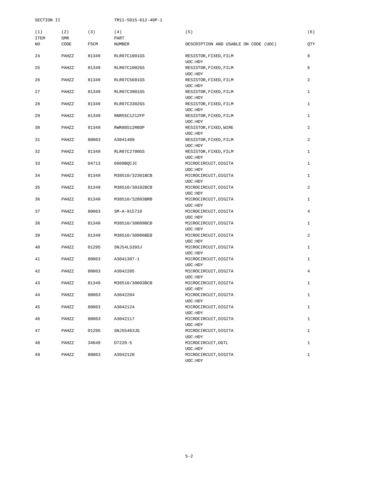| SECTION II         |                    |                | TM11-5815-612-40P-1                |                                                          |                              |
|--------------------|--------------------|----------------|------------------------------------|----------------------------------------------------------|------------------------------|
| (1)<br><b>ITEM</b> | (2)<br>${\tt SMR}$ | (3)            | (4)<br>PART                        | (5)                                                      | (6)                          |
| NO                 | CODE               | FSCM           | <b>NUMBER</b>                      | DESCRIPTION AND USABLE ON CODE (UOC)                     | QTY                          |
| 24                 | PAHZZ              | 81349          | RLR07C1001GS                       | RESISTOR, FIXED, FILM<br>UOC: HDY                        | 8                            |
| 25                 | PAHZZ              | 81349          | RLR07C1002GS                       | RESISTOR, FIXED, FILM<br>UOC: HDY                        | 6                            |
| 26                 | PAHZZ              | 81349          | RLR07C5601GS                       | RESISTOR, FIXED, FILM<br>UOC: HDY                        | 2                            |
| 27                 | PAHZZ              | 81349          | RLR07C3901GS                       | RESISTOR, FIXED, FILM<br>UOC: HDY                        | 1                            |
| 28                 | PAHZZ              | 81349          | RLR07C3302GS                       | RESISTOR, FIXED, FILM<br>UOC: HDY                        | $\mathbf{1}$                 |
| 29                 | PAHZZ              | 81349          | RNR55C1212FP                       | RESISTOR, FIXED, FILM<br>UOC: HDY                        | $\mathbf{1}$                 |
| 30                 | PAHZZ              | 81349          | RWR80S12R0DP                       | RESISTOR, FIXED, WIRE<br>UOC: HDY                        | 2                            |
| 31                 | PAHZZ              | 80063          | A3041409                           | RESISTOR, FIXED, FILM<br>UOC: HDY                        | 2                            |
| 32                 | PAHZZ              | 81349          | RLR07C2700GS                       | RESISTOR, FIXED, FILM<br>UOC: HDY                        | $\mathbf{1}$                 |
| 33<br>34           | PAHZZ              | 04713<br>81349 | 6809BQCJC                          | MICROCIRCUIT, DIGITA<br>UOC: HDY                         | $\mathbf{1}$<br>$\mathbf{1}$ |
| 35                 | PAHZZ<br>PAHZZ     | 81349          | M38510/32301BCB<br>M38510/30102BCB | MICROCIRCUIT, DIGITA<br>UOC: HDY                         | 2                            |
| 36                 | PAHZZ              | 81349          | M38510/32803BRB                    | MICROCIRCUIT, DIGITA<br>UOC: HDY<br>MICROCIRCUIT, DIGITA | 1                            |
| 37                 | PAHZZ              | 80063          | SM-A-915710                        | UOC: HDY<br>MICROCIRCUIT, DIGITA                         | $\overline{4}$               |
| 38                 | PAHZZ              | 81349          | M38510/30009BCB                    | UOC: HDY<br>MICROCIRCUIT, DIGITA                         | $\mathbf{1}$                 |
| 39                 | PAHZZ              | 81349          | M38510/30906BEB                    | UOC: HDY<br>MICROCIRCUIT, DIGITA                         | 2                            |
| 40                 | PAHZZ              | 01295          | SNJ54LS393J                        | UOC: HDY<br>MICROCIRCUIT, DIGITA                         | 1                            |
| 41                 | PAHZZ              | 80063          | A3041387-1                         | UOC: HDY<br>MICROCIRCUIT, DIGITA                         | 1                            |
| 42                 | PAHZZ              | 80063          | A3042205                           | UOC: HDY<br>MICROCIRCUIT, DIGITA                         | $\overline{4}$               |
| 43                 | PAHZZ              | 81349          | M38510/30003BCB                    | UOC: HDY<br>MICROCIRCUIT, DIGITA                         | $\mathbf{1}$                 |
| 44                 | PAHZZ              | 80063          | A3042204                           | UOC: HDY<br>MICROCIRCUIT, DIGITA                         | 1                            |
| 45                 | PAHZZ              | 80063          | A3042124                           | UOC: HDY<br>MICROCIRCUIT, DIGITA                         | $\mathbf{1}$                 |
| 46                 | PAHZZ              | 80063          | A3042117                           | UOC: HDY<br>MICROCIRCUIT, DIGITA                         | $\mathbf{1}$                 |
| 47                 | PAHZZ              | 01295          | SNJ55463JG                         | UOC: HDY<br>MICROCIRCUIT, DIGITA                         | $\mathbf{1}$                 |
| 48                 | PAHZZ              | 34649          | D7220-5                            | UOC: HDY<br>MICROCIRCUIT, DGTL                           | $\mathbf{1}$                 |
| 49                 | PAHZZ              | 80063          | A3042120                           | UOC: HDY<br>MICROCIRCUIT, DIGITA<br>UOC: HDY             | $\mathbf{1}$                 |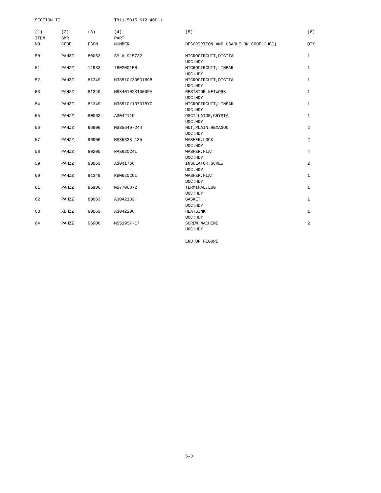| SECTION II         |            |       | TM11-5815-612-40P-1 |                                        |                |
|--------------------|------------|-------|---------------------|----------------------------------------|----------------|
| (1)<br><b>ITEM</b> | (2)<br>SMR | (3)   | (4)<br>PART         | (5)                                    | (6)            |
| NO.                | CODE       | FSCM  | NUMBER              | DESCRIPTION AND USABLE ON CODE (UOC)   | QTY            |
| 50                 | PAHZZ      | 80063 | SM-A-915732         | MICROCIRCUIT, DIGITA<br>UOC: HDY       | $\mathbf{1}$   |
| 51                 | PAHZZ      | 14933 | 7802001EB           | MICROCIRCUIT, LINEAR<br>UOC: HDY       | $\mathbf{1}$   |
| 52                 | PAHZZ      | 81349 | M38510/30501BCB     | MICROCIRCUIT, DIGITA<br>UOC: HDY       | $\mathbf{1}$   |
| 53                 | PAHZZ      | 81349 | M8340102K1000FA     | RESISTOR NETWORK<br>UOC: HDY           | $\mathbf{1}$   |
| 54                 | PAHZZ      | 81349 | M38510/10707BYC     | MICROCIRCUIT, LINEAR<br>UOC: HDY       | $\mathbf{1}$   |
| 55                 | PAHZZ      | 80063 | A3042119            | OSCILLATOR, CRYSTAL<br>UOC: HDY        | $\mathbf{1}$   |
| 56                 | PAHZZ      | 96906 | MS35649-244         | NUT, PLAIN, HEXAGON<br>UOC: HDY        | 2              |
| 57                 | PAHZZ      | 96906 | MS35338-135         | WASHER, LOCK<br>UOC: HDY               | 2              |
| 58                 | PAHZZ      | 80205 | NAS620C4L           | WASHER, FLAT<br>UOC: HDY               | $\overline{4}$ |
| 59                 | PAHZZ      | 80063 | A3041766            | INSULATOR, SCREW<br>UOC: HDY           | 2              |
| 60                 | PAHZZ      | 81349 | REW620C6L           | WASHER, FLAT                           | $\mathbf{1}$   |
| 61                 | PAHZZ      | 96906 | MS77068-2           | UOC: HDY<br>TERMINAL, LUG              | $\mathbf{1}$   |
| 62                 | PAHZZ      | 80063 | A3042133            | UOC: HDY<br>GASKET                     | $\mathbf{1}$   |
| 63                 | XBHZZ      | 80063 | A3042206            | UOC: HDY<br>HEATSINK                   | $\mathbf{1}$   |
| 64                 | PAHZZ      | 96906 | MS51957-17          | UOC: HDY<br>SCREW, MACHINE<br>UOC: HDY | $\overline{a}$ |

END OF FIGURE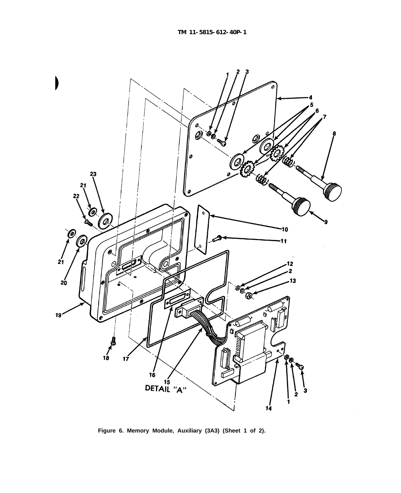<span id="page-31-0"></span>

**Figure 6. Memory Module, Auxiliary (3A3) (Sheet 1 of 2).**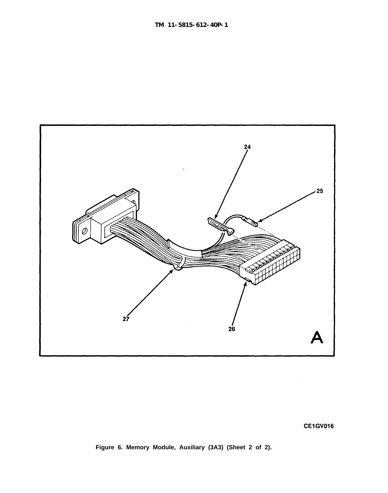

**Figure 6. Memory Module, Auxiliary (3A3) (Sheet 2 of 2).**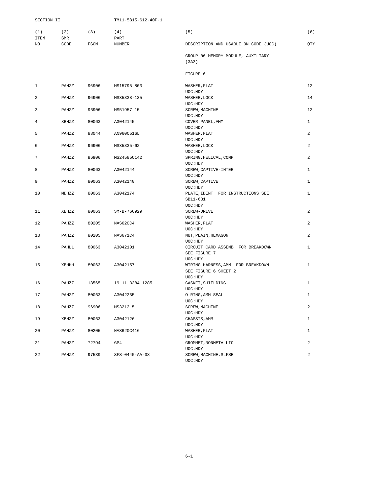<span id="page-33-0"></span>

| SECTION II     |                   |             | TM11-5815-612-40P-1 |                                                                       |                |
|----------------|-------------------|-------------|---------------------|-----------------------------------------------------------------------|----------------|
| (1)<br>ITEM    | (2)<br><b>SMR</b> | (3)         | (4)<br>PART         | (5)                                                                   | (6)            |
| NO             | CODE              | <b>FSCM</b> | <b>NUMBER</b>       | DESCRIPTION AND USABLE ON CODE (UOC)                                  | QTY            |
|                |                   |             |                     | GROUP 06 MEMORY MODULE, AUXILIARY<br>(3A3)                            |                |
|                |                   |             |                     | FIGURE 6                                                              |                |
| 1              | PAHZZ             | 96906       | MS15795-803         | WASHER, FLAT<br>UOC: HDY                                              | 12             |
| 2              | PAHZZ             | 96906       | MS35338-135         | WASHER, LOCK<br>UOC: HDY                                              | 14             |
| 3              | PAHZZ             | 96906       | MS51957-15          | SCREW, MACHINE<br>UOC: HDY                                            | 12             |
| 4              | XBHZZ             | 80063       | A3042145            | COVER PANEL, AMM<br>UOC: HDY                                          | 1              |
| 5              | PAHZZ             | 88044       | AN960C516L          | WASHER, FLAT<br>UOC: HDY                                              | 2              |
| 6              | PAHZZ             | 96906       | MS35335-62          | WASHER, LOCK<br>UOC: HDY                                              | 2              |
| $\overline{7}$ | PAHZZ             | 96906       | MS24585C142         | SPRING, HELICAL, COMP                                                 | $\overline{a}$ |
| 8              | PAHZZ             | 80063       | A3042144            | UOC: HDY<br>SCREW, CAPTIVE-INTER                                      | 1              |
| 9              | PAHZZ             | 80063       | A3042140            | UOC: HDY<br>SCREW, CAPTIVE<br>UOC: HDY                                | 1              |
| 10             | MDHZZ             | 80063       | A3042174            | PLATE, IDENT FOR INSTRUCTIONS SEE<br>SB11-631                         | $\mathbf{1}$   |
| 11             | XBHZZ             | 80063       | SM-B-766929         | UOC: HDY<br>SCREW-DRIVE                                               | 2              |
| 12             | PAHZZ             | 80205       | NAS620C4            | UOC: HDY<br>WASHER, FLAT<br>UOC: HDY                                  | 2              |
| 13             | PAHZZ             | 80205       | NAS671C4            | NUT, PLAIN, HEXAGON<br>UOC: HDY                                       | 2              |
| 14             | PAHLL             | 80063       | A3042101            | CIRCUIT CARD ASSEMB FOR BREAKDOWN<br>SEE FIGURE 7                     | $\mathbf{1}$   |
| 15             | XBHHH             | 80063       | A3042157            | UOC: HDY<br>WIRING HARNESS, AMM FOR BREAKDOWN<br>SEE FIGURE 6 SHEET 2 | 1              |
| 16             | PAHZZ             | 18565       | 19-11-B384-1285     | UOC: HDY<br>GASKET, SHIELDING                                         | $\mathbf{1}$   |
| 17             | PAHZZ             | 80063       | A3042235            | UOC: HDY<br>O-RING, AMM SEAL                                          | $\mathbf 1$    |
| 18             | PAHZZ             | 96906       | MS3212-5            | UOC:HDY<br>SCREW, MACHINE                                             | 2              |
| 19             | XBHZZ             | 80063       | A3042126            | UOC: HDY<br>CHASSIS, AMM                                              | $\mathbf{1}$   |
| 20             | PAHZZ             | 80205       | NAS620C416          | UOC: HDY<br>WASHER, FLAT                                              | $\mathbf{1}$   |
| 21             | PAHZZ             | 72794       | GP4                 | UOC: HDY<br>GROMMET, NONMETALLIC                                      | 2              |
| 22             | PAHZZ             | 97539       | SFS-0440-AA-08      | UOC: HDY<br>SCREW, MACHINE, SLFSE<br>UOC: HDY                         | 2              |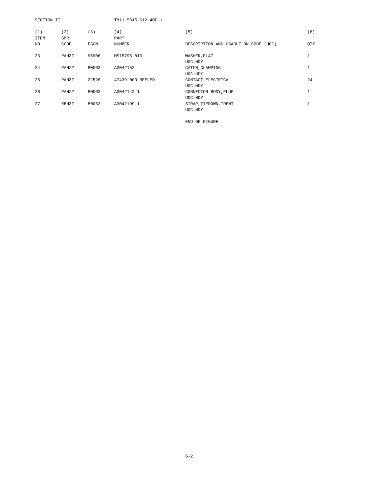| SECTION II         |                   |       | TM11-5815-612-40P-1 |                                      |              |
|--------------------|-------------------|-------|---------------------|--------------------------------------|--------------|
| (1)<br><b>ITEM</b> | (2)<br><b>SMR</b> | (3)   | (4)<br>PART         | (5)                                  | (6)          |
| NO.                | CODE              | FSCM  | <b>NUMBER</b>       | DESCRIPTION AND USABLE ON CODE (UOC) | <b>OTY</b>   |
| 23                 | PAHZZ             | 96906 | MS15795-810         | WASHER, FLAT<br>UOC: HDY             | $\mathbf{1}$ |
| 24                 | PAHZZ             | 80063 | A3042152            | CATCH, CLAMPING<br>UOC: HDY          | $\mathbf{1}$ |
| 25                 | PAHZZ             | 22526 | 47439-000 REELED    | CONTACT, ELECTRICAL<br>UOC: HDY      | 24           |
| 26                 | PAHZZ             | 80063 | A3042142-1          | CONNECTOR BODY, PLUG<br>UOC: HDY     | $\mathbf{1}$ |
| 27                 | XBHZZ             | 80063 | A3042199-1          | STRAP, TIEDOWN, IDENT<br>UOC: HDY    | $\mathbf{1}$ |

END OF FIGURE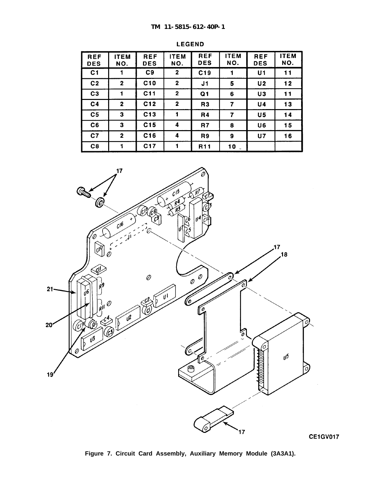<span id="page-35-0"></span>

| <b>REF</b><br><b>DES</b> | <b>ITEM</b><br>NO. | <b>REF</b><br><b>DES</b> | <b>ITEM</b><br>NO. | <b>REF</b><br><b>DES</b> | <b>ITEM</b><br>NO. | <b>REF</b><br><b>DES</b> | <b>ITEM</b><br>NO. |
|--------------------------|--------------------|--------------------------|--------------------|--------------------------|--------------------|--------------------------|--------------------|
| C1                       |                    | C9                       | $\mathbf{2}$       | C <sub>19</sub>          |                    | U1                       | 11                 |
| C <sub>2</sub>           | $\mathbf 2$        | C10                      | $\mathbf{2}$       | J1                       | 5                  | U <sub>2</sub>           | 12                 |
| C <sub>3</sub>           | 1                  | C11                      | $\mathbf{2}$       | Q <sub>1</sub>           | 6                  | U3                       | 11                 |
| C <sub>4</sub>           | $\mathbf 2$        | C12                      | $\mathbf 2$        | R <sub>3</sub>           | 7                  | <b>U4</b>                | 13                 |
| C <sub>5</sub>           | 3                  | C13                      |                    | R4                       | 7                  | U <sub>5</sub>           | 14                 |
| C6                       | 3                  | C15                      | 4                  | R7                       | 8                  | U6                       | 15                 |
| C <sub>7</sub>           | $\mathbf 2$        | C16                      | 4                  | R <sub>9</sub>           | 9                  | <b>U7</b>                | 16                 |
| C8                       | 1                  | C <sub>17</sub>          |                    | R <sub>11</sub>          | 10                 |                          |                    |





**Figure 7. Circuit Card Assembly, Auxiliary Memory Module (3A3A1).**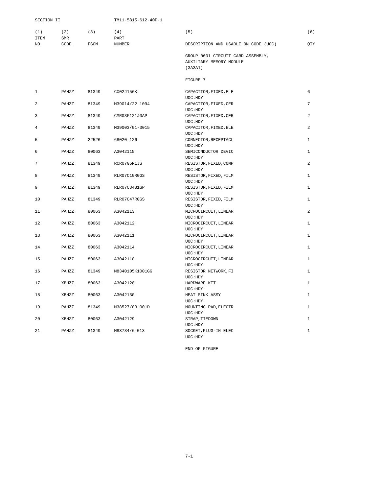<span id="page-36-0"></span>

| SECTION II         |                    |             | TM11-5815-612-40P-1 |                                                              |                |
|--------------------|--------------------|-------------|---------------------|--------------------------------------------------------------|----------------|
| (1)<br><b>ITEM</b> | (2)<br>${\tt SMR}$ | (3)         | (4)<br>PART         | (5)                                                          | (6)            |
| NO.                | CODE               | <b>FSCM</b> | <b>NUMBER</b>       | DESCRIPTION AND USABLE ON CODE (UOC)                         | <b>OTY</b>     |
|                    |                    |             |                     | GROUP 0601 CIRCUIT CARD ASSEMBLY,<br>AUXILIARY MEMORY MODULE |                |
|                    |                    |             |                     | (3A3A1)                                                      |                |
|                    |                    |             |                     | FIGURE 7                                                     |                |
| $\mathbf{1}$       | PAHZZ              | 81349       | CX02J156K           | CAPACITOR, FIXED, ELE<br>UOC: HDY                            | 6              |
| 2                  | PAHZZ              | 81349       | M39014/22-1094      | CAPACITOR, FIXED, CER                                        | 7              |
|                    |                    |             |                     | UOC: HDY                                                     |                |
| 3                  | PAHZZ              | 81349       | CMR03F121J0AP       | CAPACITOR, FIXED, CER<br>UOC: HDY                            | 2              |
| $\overline{4}$     | PAHZZ              | 81349       | M39003/01-3015      | CAPACITOR, FIXED, ELE                                        | 2              |
|                    |                    |             |                     | UOC: HDY                                                     |                |
| 5                  | PAHZZ              | 22526       | 68020-126           | CONNECTOR, RECEPTACL<br>UOC: HDY                             | $\mathbf{1}$   |
| 6                  | PAHZZ              | 80063       | A3042115            | SEMICONDUCTOR DEVIC                                          | $\mathbf{1}$   |
|                    |                    |             |                     | UOC: HDY                                                     |                |
| 7                  | PAHZZ              | 81349       | RCR07G5R1JS         | RESISTOR, FIXED, COMP                                        | 2              |
| 8                  | PAHZZ              | 81349       | RLR07C10R0GS        | UOC: HDY<br>RESISTOR, FIXED, FILM                            | $\mathbf{1}$   |
|                    |                    |             |                     | UOC: HDY                                                     |                |
| 9                  | PAHZZ              | 81349       | RLR07C3481GP        | RESISTOR, FIXED, FILM                                        | $\mathbf{1}$   |
|                    |                    |             |                     | UOC: HDY                                                     |                |
| 10                 | PAHZZ              | 81349       | RLR07C47R0GS        | RESISTOR, FIXED, FILM<br>UOC: HDY                            | $\mathbf{1}$   |
| 11                 | PAHZZ              | 80063       | A3042113            | MICROCIRCUIT, LINEAR                                         | $\overline{a}$ |
|                    |                    |             |                     | UOC: HDY                                                     |                |
| 12                 | PAHZZ              | 80063       | A3042112            | MICROCIRCUIT, LINEAR<br>UOC: HDY                             | $\mathbf{1}$   |
| 13                 | PAHZZ              | 80063       | A3042111            | MICROCIRCUIT, LINEAR                                         | $\mathbf{1}$   |
|                    |                    |             |                     | UOC: HDY                                                     |                |
| 14                 | PAHZZ              | 80063       | A3042114            | MICROCIRCUIT, LINEAR                                         | $\mathbf{1}$   |
| 15                 | PAHZZ              | 80063       | A3042110            | UOC: HDY<br>MICROCIRCUIT, LINEAR                             | 1              |
|                    |                    |             |                     | UOC: HDY                                                     |                |
| 16                 | PAHZZ              | 81349       | M8340105K1001GG     | RESISTOR NETWORK, FI                                         | $\mathbf{1}$   |
|                    |                    |             |                     | UOC: HDY                                                     |                |
| 17                 | XBHZZ              | 80063       | A3042128            | HARDWARE KIT                                                 | $\mathbf{1}$   |
| 18                 | XBHZZ              | 80063       | A3042130            | UOC: HDY<br>HEAT SINK ASSY                                   | $\mathbf{1}$   |
|                    |                    |             |                     | UOC: HDY                                                     |                |
| 19                 | PAHZZ              | 81349       | M38527/03-001D      | MOUNTING PAD, ELECTR                                         | $\mathbf{1}$   |
|                    |                    |             |                     | UOC: HDY                                                     |                |
| 20                 | XBHZZ              | 80063       | A3042129            | STRAP, TIEDOWN                                               | $\mathbf{1}$   |

21 PAHZZ 81349 M83734/6-013 SOCKET,PLUG-IN ELEC 1

END OF FIGURE

UOC:HDY

UOC:HDY<br>SOCKET,PLUG-IN ELEC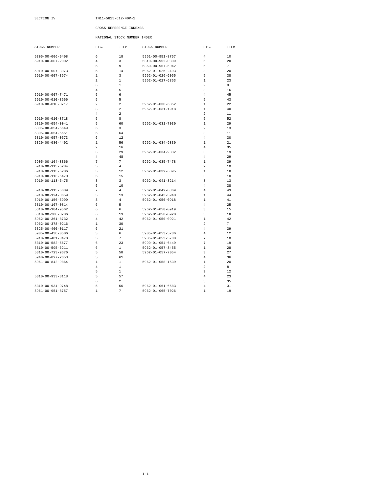#### <span id="page-37-0"></span>SECTION IV TM11-5815-612-40P-1

#### CROSS-REFERENCE INDEXES

NATIONAL STOCK NUMBER INDEX

| STOCK NUMBER             | FIG.                    | ITEM           | STOCK NUMBER             | FIG.           | ITEM     |
|--------------------------|-------------------------|----------------|--------------------------|----------------|----------|
| $5305 - 00 - 006 - 9408$ | 6                       | 18             | $5961 - 00 - 951 - 8757$ | $\overline{4}$ | 10       |
| 5910-00-007-2002         | $\overline{4}$          | 3              | 5310-00-952-0309         | 6              | 20       |
|                          | 5                       | 9              | 5360-00-957-5042         | 6              | 7        |
| 5910-00-007-3973         | 5                       | 14             | $5962 - 01 - 026 - 2493$ | 3              | 20       |
| 5910-00-007-3974         | $\mathbf{1}$            | 3              | $5962 - 01 - 026 - 6055$ | 5              | 38       |
|                          | $\overline{2}$          | 1              | $5962 - 01 - 027 - 6863$ | 1              | 23       |
|                          | 3                       | 1              |                          | $\overline{a}$ | 9        |
|                          | $\overline{4}$          | 5              |                          | 3              | 16       |
| 5910-00-007-7471         | 5                       | 6              |                          | $\overline{4}$ | 45       |
| 5910-00-010-8666         | 5                       | 5              |                          | 5              | 43       |
| 5910-00-010-8717         | $\overline{2}$          | $\overline{a}$ | 5962-01-030-6352         | 1              | 22       |
|                          | $\overline{\mathbf{3}}$ | $\overline{a}$ | 5962-01-031-1918         | 1              | 40       |
|                          | $\overline{4}$          | $\overline{a}$ |                          | $\overline{a}$ | 11       |
| 5910-00-010-8718         | 5                       | 8              |                          | 5              | 52       |
| 5310-00-054-0041         | 5                       | 60             | 5962-01-031-7030         | 1              | 29       |
| $5305 - 00 - 054 - 5649$ | 6                       | 3              |                          | $\overline{a}$ | 13       |
| $5305 - 00 - 054 - 5651$ | 5                       | 64             |                          | 3              | 11       |
| 5310-00-057-0573         | 6                       | 12             |                          | 4              | 30       |
| $5320 - 00 - 080 - 4402$ | $\mathbf{1}$            | 56             | 5962-01-034-9830         | 1              | 21       |
|                          | $\overline{2}$          | 16             |                          | $\overline{4}$ | 35       |
|                          | $\overline{\mathbf{3}}$ | 29             | 5962-01-034-9832         | 3              | 19       |
|                          | $\overline{4}$          | 48             |                          | 4              | 29       |
| $5905 - 00 - 104 - 8366$ | $\overline{7}$          | 7              | 5962-01-035-7478         | 1              | 39       |
| 5910-00-113-5284         | 5                       | 4              |                          | $\overline{a}$ | 10       |
| $5910 - 00 - 113 - 5286$ | 5                       | 12             | $5962 - 01 - 039 - 6395$ | 1              | 18       |
| 5910-00-113-5470         | 5                       | 15             |                          | 3              | 10       |
| 5910-00-113-5475         | 3                       | 3              | 5962-01-041-3214         | 3              | 13       |
|                          | 5                       | 10             |                          | $\overline{4}$ | 38       |
| $5910 - 00 - 113 - 5689$ | $\overline{7}$          | $\overline{4}$ | $5962 - 01 - 042 - 0369$ | $\overline{4}$ | 43       |
| 5910-00-124-0659         | 5                       | 13             | $5962 - 01 - 043 - 3940$ | 1              | 44       |
| 5910-00-156-5999         | 3                       | $\overline{4}$ | $5962 - 01 - 050 - 0918$ | 1              | 41       |
| $5310 - 00 - 167 - 0814$ | 6                       | 5              |                          | $\overline{4}$ | 25       |
| $5310 - 00 - 184 - 9562$ | 6                       | 6              | $5962 - 01 - 050 - 0919$ | 3              | 15       |
| 5310-00-208-3786         | 6                       | 13             | 5962-01-050-0920         | 3              | 18       |
| 5962-00-361-8732         | 4                       | 42             | 5962-01-050-0921         | 1              | 42       |
| $5962 - 00 - 378 - 0216$ | 1                       | 30             |                          | $\overline{a}$ | 7        |
| 5325-00-400-0117         | 6                       | 21             |                          | 4              | 39       |
| $5905 - 00 - 438 - 0506$ | 3                       | 6              | 5905-01-053-5786         | 4              | 12       |
| 5910-00-481-0470         | 5                       | 7              | $5905 - 01 - 053 - 5788$ | 7              | 10       |
| $5310 - 00 - 582 - 5677$ | 6                       | 23             | $5999 - 01 - 054 - 6449$ | 7              | 19       |
| 5310-00-595-6211         | 6                       | 1              | $5962 - 01 - 057 - 3455$ | 1              | 28       |
| 5310-00-723-9676         | 5                       | 58             | 5962-01-057-7054         | 3              | 27       |
| 5940-00-827-2653         | 5                       | 61             |                          | $\overline{4}$ | 36       |
| $5961 - 00 - 842 - 9864$ | 1                       | $1\,$          | $5962 - 01 - 058 - 1539$ | 1              | 20       |
|                          |                         |                |                          |                |          |
|                          | $\overline{4}$<br>5     | 1              |                          | 2              | 8        |
|                          |                         | 1              |                          | 3<br>4         | 12       |
| 5310-00-933-8118         | 5                       | 57             |                          |                | 23       |
|                          | 6                       | $\overline{a}$ |                          | 5              | 35       |
| 5310-00-934-9748         | 5<br>$\mathbf{1}$       | 56<br>7        | $5962 - 01 - 061 - 6583$ | 4<br>1         | 31<br>19 |
| 5961-00-951-8757         |                         |                | 5962-01-065-7026         |                |          |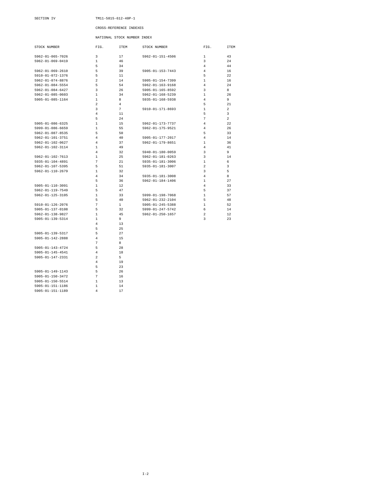#### SECTION IV TM11-5815-612-40P-1

#### CROSS-REFERENCE INDEXES

#### NATIONAL STOCK NUMBER INDEX

| STOCK NUMBER             | FIG.           | <b>ITEM</b> | STOCK NUMBER             | FIG.           | <b>ITEM</b>    |
|--------------------------|----------------|-------------|--------------------------|----------------|----------------|
| $5962 - 01 - 065 - 7026$ | 3              | 17          | 5962-01-151-4506         | 1              | 43             |
| $5962 - 01 - 069 - 0419$ | 1              | 46          |                          | 3              | 24             |
|                          | 5              | 34          |                          | 4              | 44             |
| 5962-01-069-2610         | 5              | 39          | 5905-01-153-7443         | 4              | 16             |
| 5910-01-072-1376         | 5              | 11          |                          | 5              | 22             |
| $5962 - 01 - 074 - 8876$ | $\overline{2}$ | 14          | $5905 - 01 - 154 - 7399$ | 1              | 16             |
| $5962 - 01 - 084 - 5554$ | 5              | 54          | $5962 - 01 - 163 - 9168$ | 4              | 24             |
| 5962-01-084-6427         | 3              | 26          | 5905-01-165-8592         | 3              | 8              |
| $5962 - 01 - 085 - 0603$ | 1              | 34          | 5962-01-168-5239         | 1              | 26             |
| $5905 - 01 - 085 - 1164$ | 1              | 8           | $5935 - 01 - 168 - 5938$ | $\overline{4}$ | 9              |
|                          | 2              | 4           |                          | 5              | 21             |
|                          | 3              | 7           | 5910-01-171-8693         | 1              | 2              |
|                          | 4              | 11          |                          | 5              | 3              |
|                          | 5              | 24          |                          | 7              | $\overline{a}$ |
| 5905-01-086-6325         | 1              | 15          | 5962-01-173-7737         | $\overline{4}$ | 22             |
| 5999-01-086-6659         | 1              | 55          | 5962-01-175-9521         | 4              | 26             |
| $5962 - 01 - 087 - 8535$ | 5              | 50          |                          | 5              | 33             |
| 5962-01-101-3751         | 4              | 40          | 5905-01-177-2017         | $\overline{4}$ | 14             |
| 5962-01-102-0627         | 4              | 37          | 5962-01-179-8651         | 1              | 36             |
| 5962-01-102-3114         | 1              | 49          |                          | 4              | 41             |
|                          | $\overline{4}$ | 32          | $5940 - 01 - 180 - 0059$ | 3              | 9              |
| 5962-01-102-7613         | 1              | 25          | 5962-01-181-0263         | 3              | 14             |
| 5935-01-104-4891         | 7              | 21          | 5935-01-181-3006         | 1              | 6              |
| 5962-01-107-5395         | 5              | 51          | 5935-01-181-3007         | $\overline{a}$ | 3              |
| $5962 - 01 - 110 - 2679$ | 1              | 32          |                          | 3              | 5              |
|                          | 4              | 34          | $5935 - 01 - 181 - 3008$ | $\overline{4}$ | 8              |
|                          | 5              | 36          | 5962-01-184-1406         | 1              | 27             |
| 5905-01-110-3091         | 1              | 12          |                          | $\overline{4}$ | 33             |
| $5962 - 01 - 119 - 7549$ | 5              | 47          |                          | 5              | 37             |
| 5962-01-125-3105         | 1              | 33          | 5999-01-198-7068         | 1              | 57             |
|                          | 5              | 40          | 5962-01-232-2104         | 5              | 48             |
| $5910 - 01 - 126 - 2076$ | 7              | 1           | $5905 - 01 - 245 - 5388$ | 1              | 52             |
| 5905-01-137-0108         | 5              | 32          | 5999-01-247-5742         | 6              | 14             |
| 5962-01-138-9827         | 1              | 45          | 5962-01-250-1657         | 2              | 12             |
| 5905-01-139-5314         | 1              | 9           |                          | 3              | 23             |
|                          | 4              | 13          |                          |                |                |
|                          | 5              | 25          |                          |                |                |
| 5905-01-139-5317         | 5              | 27          |                          |                |                |
| 5905-01-142-2888         | 4              | 15          |                          |                |                |
|                          | 7              | 8           |                          |                |                |
| 5905-01-143-4724         | 5              | 28          |                          |                |                |
| 5905-01-145-4541         | 4              | 18          |                          |                |                |
| 5905-01-147-2331         | 2              | 5           |                          |                |                |
|                          | $\overline{4}$ | 19          |                          |                |                |
|                          | 5              | 23          |                          |                |                |
| 5905-01-149-1143         | 5              | 26          |                          |                |                |
| $5905 - 01 - 150 - 3472$ | 7              | 16          |                          |                |                |
| $5905 - 01 - 150 - 5514$ | $\mathbf{1}$   | 13          |                          |                |                |
| 5905-01-151-1186         | 1              | 14          |                          |                |                |
| 5905-01-151-1189         | $\overline{4}$ | 17          |                          |                |                |
|                          |                |             |                          |                |                |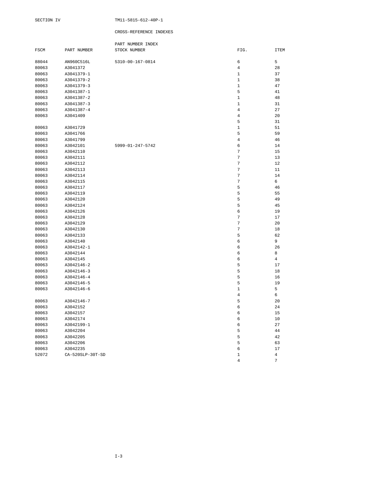|       |                  | PART NUMBER INDEX |                  |                |
|-------|------------------|-------------------|------------------|----------------|
| FSCM  | PART NUMBER      | STOCK NUMBER      | FIG.             | <b>ITEM</b>    |
|       |                  |                   |                  |                |
| 88044 | AN960C516L       | 5310-00-167-0814  | 6                | 5              |
| 80063 | A3041372         |                   | $\overline{4}$   | 28             |
| 80063 | A3041379-1       |                   | $\mathbf 1$      | 37             |
| 80063 | A3041379-2       |                   | $\mathbf{1}$     | 38             |
| 80063 | A3041379-3       |                   | $\mathbf 1$      | 47             |
| 80063 | A3041387-1       |                   | 5                | 41             |
| 80063 | A3041387-2       |                   | $\mathbf{1}$     | 48             |
| 80063 | A3041387-3       |                   | $\mathbf 1$      | 31             |
| 80063 | A3041387-4       |                   | 4                | 27             |
| 80063 | A3041409         |                   | $\bf 4$          | 20             |
|       |                  |                   | 5                | 31             |
| 80063 | A3041729         |                   | $\mathbf 1$      | 51             |
| 80063 | A3041766         |                   | 5                | 59             |
| 80063 | A3041799         |                   | $\overline{4}$   | 46             |
| 80063 | A3042101         | 5999-01-247-5742  | 6                | 14             |
| 80063 | A3042110         |                   | 7                | 15             |
| 80063 | A3042111         |                   | 7                | 13             |
| 80063 | A3042112         |                   | 7                | 12             |
| 80063 | A3042113         |                   | 7                | 11             |
| 80063 | A3042114         |                   | $\overline{7}$   | 14             |
| 80063 | A3042115         |                   | 7                | 6              |
| 80063 | A3042117         |                   | 5                | 46             |
| 80063 | A3042119         |                   | 5                | 55             |
| 80063 | A3042120         |                   | 5                | 49             |
| 80063 | A3042124         |                   | 5                | 45             |
| 80063 | A3042126         |                   | 6                | 19             |
| 80063 | A3042128         |                   | $\boldsymbol{7}$ | 17             |
| 80063 | A3042129         |                   | 7                | 20             |
| 80063 | A3042130         |                   | $\boldsymbol{7}$ | 18             |
| 80063 | A3042133         |                   | 5                | 62             |
| 80063 | A3042140         |                   | 6                | 9              |
| 80063 | A3042142-1       |                   | 6                | 26             |
| 80063 | A3042144         |                   | 6                | 8              |
| 80063 | A3042145         |                   | 6                | $\overline{4}$ |
| 80063 | A3042146-2       |                   | 5                | 17             |
| 80063 | A3042146-3       |                   | 5                | 18             |
| 80063 | A3042146-4       |                   | 5                | 16             |
| 80063 | A3042146-5       |                   | 5                | 19             |
| 80063 | A3042146-6       |                   | $1\,$            | 5              |
|       |                  |                   | $\bf 4$          | 6              |
| 80063 | A3042146-7       |                   | 5                | 20             |
| 80063 | A3042152         |                   | 6                | 24             |
| 80063 | A3042157         |                   | 6                | 15             |
| 80063 | A3042174         |                   | 6                | 10             |
| 80063 | A3042199-1       |                   | 6                | 27             |
| 80063 | A3042204         |                   | 5                | 44             |
| 80063 | A3042205         |                   | 5                | 42             |
| 80063 | A3042206         |                   | 5                | 63             |
| 80063 | A3042235         |                   | 6                | 17             |
| 52072 | CA-520SLP-30T-SD |                   | $\mathbf 1$      | $\overline{4}$ |
|       |                  |                   | $\overline{4}$   | 7              |
|       |                  |                   |                  |                |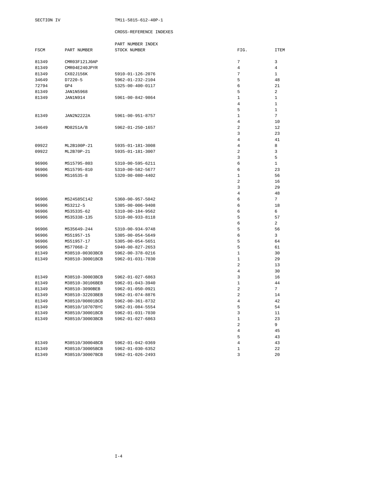|       |                  | PART NUMBER INDEX |                |                 |
|-------|------------------|-------------------|----------------|-----------------|
| FSCM  | PART NUMBER      | STOCK NUMBER      | FIG.           | <b>ITEM</b>     |
|       |                  |                   |                |                 |
| 81349 | CMR03F121J0AP    |                   | 7              | 3               |
| 81349 | CMR04E240JPYR    |                   | 4              | $\overline{4}$  |
| 81349 | CX02J156K        | 5910-01-126-2076  | 7              | $\mathbf{1}$    |
| 34649 | $D7220-5$        | 5962-01-232-2104  | 5              | 48              |
| 72794 | GP4              | 5325-00-400-0117  | 6              | 21              |
| 81349 | <b>JAN1N5968</b> |                   | 5              | $\overline{a}$  |
| 81349 | JAN1N914         | 5961-00-842-9864  | $\mathbf{1}$   | $\mathbf{1}$    |
|       |                  |                   | 4              | $\mathbf{1}$    |
|       |                  |                   | 5              | $\mathbf{1}$    |
| 81349 | JAN2N2222A       | 5961-00-951-8757  | $\mathbf{1}$   | $\overline{7}$  |
|       |                  |                   | $\overline{4}$ | 10              |
| 34649 | MD8251A/B        | 5962-01-250-1657  | 2              | 12              |
|       |                  |                   | 3              | 23              |
|       |                  |                   | $\overline{4}$ | 41              |
| 09922 | ML2B100P-21      | 5935-01-181-3008  | $\overline{4}$ | 8               |
| 09922 | ML2B70P-21       | 5935-01-181-3007  | $\overline{a}$ | 3               |
|       |                  |                   | 3              | 5               |
|       |                  |                   |                |                 |
| 96906 | MS15795-803      | 5310-00-595-6211  | 6              | $\mathbf{1}$    |
| 96906 | MS15795-810      | 5310-00-582-5677  | 6              | 23              |
| 96906 | MS16535-8        | 5320-00-080-4402  | 1              | 56              |
|       |                  |                   | $\overline{a}$ | 16              |
|       |                  |                   | 3              | 29              |
|       |                  |                   | 4              | 48              |
| 96906 | MS24585C142      | 5360-00-957-5042  | 6              | $7\overline{ }$ |
| 96906 | MS3212-5         | 5305-00-006-9408  | 6              | 18              |
| 96906 | MS35335-62       | 5310-00-184-9562  | 6              | 6               |
| 96906 | MS35338-135      | 5310-00-933-8118  | 5              | 57              |
|       |                  |                   | 6              | $\overline{a}$  |
| 96906 | MS35649-244      | 5310-00-934-9748  | 5              | 56              |
| 96906 | MS51957-15       | 5305-00-054-5649  | 6              | 3               |
| 96906 | MS51957-17       | 5305-00-054-5651  | 5              | 64              |
| 96906 | MS77068-2        | 5940-00-827-2653  | 5              | 61              |
| 81349 | M38510-00303BCB  | 5962-00-378-0216  | $\mathbf{1}$   | 30              |
| 81349 | M38510-30001BCB  | 5962-01-031-7030  | $\mathbf{1}$   | 29              |
|       |                  |                   | 2              | 13              |
|       |                  |                   | 4              | 30              |
| 81349 | M38510-30003BCB  | 5962-01-027-6863  | 3              | 16              |
| 81349 | M38510-30106BEB  | 5962-01-043-3940  | $\mathbf{1}$   | 44              |
| 81349 | M38510-3090BEB   | 5962-01-050-0921  | $\sqrt{2}$     | $7\overline{ }$ |
| 81349 | M38510-32203BEB  | 5962-01-074-8876  | $\overline{a}$ | 14              |
| 81349 | M38510/00801BCB  | 5962-00-361-8732  | 4              | 42              |
| 81349 | M38510/10707BYC  | 5962-01-084-5554  | 5              | 54              |
| 81349 | M38510/30001BCB  | 5962-01-031-7030  | 3              | 11              |
| 81349 | M38510/30003BCB  | 5962-01-027-6863  | $\mathbf{1}$   | 23              |
|       |                  |                   | $\overline{a}$ | 9               |
|       |                  |                   | 4              | 45              |
|       |                  |                   | 5              | 43              |
| 81349 | M38510/30004BCB  | 5962-01-042-0369  | $\overline{4}$ | 43              |
| 81349 | M38510/30005BCB  | 5962-01-030-6352  | $\mathbf 1$    | 22              |
| 81349 | M38510/30007BCB  | 5962-01-026-2493  | 3              | 20              |
|       |                  |                   |                |                 |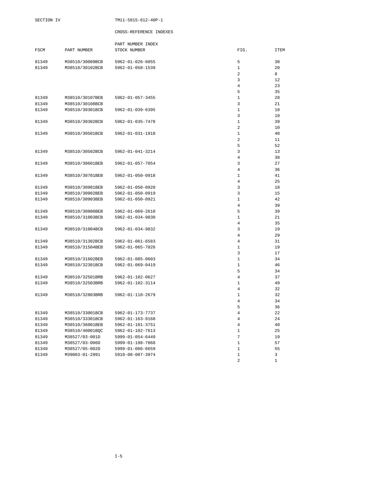| <b>FSCM</b> | PART NUMBER     | PART NUMBER INDEX<br>STOCK NUMBER | FIG.                | <b>ITEM</b>  |
|-------------|-----------------|-----------------------------------|---------------------|--------------|
|             |                 |                                   |                     |              |
| 81349       | M38510/30009BCB | 5962-01-026-6055                  | 5                   | 38           |
| 81349       | M38510/30102BCB | 5962-01-058-1539                  | $\mathbf 1$         | 20           |
|             |                 |                                   | 2                   | 8            |
|             |                 |                                   | 3                   | 12           |
|             |                 |                                   | 4                   | 23           |
|             |                 |                                   | 5                   | 35           |
| 81349       | M38510/30107BEB | 5962-01-057-3455                  | $\mathbf{1}$        | 28           |
| 81349       | M38510/30108BCB |                                   | 3                   | 21           |
| 81349       | M38510/30301BCB | 5962-01-039-6395                  | $\mathbf{1}$        | 18           |
|             |                 |                                   | 3                   | 10           |
| 81349       | M38510/30302BCB | 5962-01-035-7478                  | $\mathbf{1}$        | 39           |
|             |                 |                                   | $\overline{a}$      | 10           |
| 81349       | M38510/30501BCB | 5962-01-031-1918                  | $\mathbf{1}$        | 40           |
|             |                 |                                   | $\overline{a}$      | 11           |
|             |                 |                                   | 5                   | 52           |
| 81349       | M38510/30502BCB | 5962-01-041-3214                  | 3                   | 13           |
|             |                 |                                   | $\overline{4}$<br>3 | 38<br>27     |
| 81349       | M38510/30601BEB | 5962-01-057-7054                  | 4                   | 36           |
| 81349       | M38510/30701BEB | 5962-01-050-0918                  | 1                   | 41           |
|             |                 |                                   | $\overline{4}$      | 25           |
| 81349       | M38510/30901BEB | 5962-01-050-0920                  | 3                   | 18           |
| 81349       | M38510/30902BEB | 5962-01-050-0919                  | 3                   | 15           |
| 81349       | M38510/30903BEB | 5962-01-050-0921                  | $\mathbf{1}$        | 42           |
|             |                 |                                   | $\overline{4}$      | 39           |
| 81349       | M38510/30906BEB | 5962-01-069-2610                  | 5                   | 39           |
| 81349       | M38510/31003BCB | 5962-01-034-9830                  | 1                   | 21           |
|             |                 |                                   | $\overline{4}$      | 35           |
| 81349       | M38510/31004BCB | 5962-01-034-9832                  | 3                   | 19           |
|             |                 |                                   | $\overline{4}$      | 29           |
| 81349       | M38510/31302BCB | 5962-01-061-6583                  | 4                   | 31           |
| 81349       | M38510/31504BEB | 5962-01-065-7026                  | $\mathbf{1}$        | 19           |
|             |                 |                                   | 3                   | 17           |
| 81349       | M38510/31602BEB | 5962-01-085-0603                  | $\mathbf 1$         | 34           |
| 81349       | M38510/32301BCB | 5962-01-069-0419                  | $\mathbf{1}$        | 46           |
|             |                 |                                   | 5                   | 34           |
| 81349       | M38510/32501BRB | 5962-01-102-0627                  | $\overline{4}$      | 37           |
| 81349       | M38510/32503BRB | 5962-01-102-3114                  | $\mathbf 1$         | 49           |
|             |                 |                                   | 4                   | 32           |
| 81349       | M38510/32803BRB | 5962-01-110-2679                  | $\mathbf{1}$        | 32           |
|             |                 |                                   | $\overline{4}$      | 34           |
|             |                 |                                   | 5                   | 36           |
| 81349       | M38510/33001BCB | 5962-01-173-7737                  | $\overline{4}$      | 22           |
| 81349       | M38510/33301BCB | 5962-01-163-9168                  | 4                   | 24           |
| 81349       | M38510/36001BEB | 5962-01-101-3751                  | $\overline{4}$      | 40           |
| 81349       | M38510/40001BQC | 5962-01-102-7613                  | $\mathbf{1}$        | 25           |
| 81349       | M38527/03-001D  | 5999-01-054-6449                  | 7                   | 19           |
| 81349       | M38527/03-006D  | 5999-01-198-7068                  | $\mathbf{1}$        | 57           |
| 81349       | M38527/05-002D  | 5999-01-086-6659                  | $\mathbf{1}$        | 55           |
| 81349       | M39003-01-2991  | 5910-00-007-3974                  | $\mathbf 1$         | 3            |
|             |                 |                                   | $\overline{a}$      | $\mathbf{1}$ |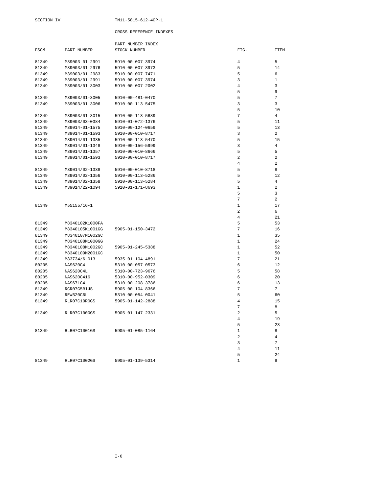|               |                 | PART NUMBER INDEX |                  |                |
|---------------|-----------------|-------------------|------------------|----------------|
| $_{\tt FSCM}$ | PART NUMBER     | STOCK NUMBER      | FIG.             | <b>ITEM</b>    |
| 81349         | M39003-01-2991  | 5910-00-007-3974  | $\overline{4}$   | 5              |
| 81349         | M39003/01-2976  | 5910-00-007-3973  | 5                | 14             |
| 81349         | M39003/01-2983  | 5910-00-007-7471  | 5                | 6              |
| 81349         | M39003/01-2991  | 5910-00-007-3974  | 3                | $\mathbf{1}$   |
| 81349         | M39003/01-3003  | 5910-00-007-2002  | $\overline{4}$   | 3              |
|               |                 |                   | 5                | $\mathsf{Q}$   |
| 81349         | M39003/01-3005  | 5910-00-481-0470  | 5                | 7              |
| 81349         | M39003/01-3006  | 5910-00-113-5475  | 3                | $\overline{3}$ |
|               |                 |                   | 5                | 10             |
| 81349         | M39003/01-3015  | 5910-00-113-5689  | $\sqrt{ }$       | $\overline{4}$ |
| 81349         | M39003/03-0384  | 5910-01-072-1376  | 5                | 11             |
| 81349         | M39014-01-1575  | 5910-00-124-0659  | 5                | 13             |
| 81349         | M39014-01-1593  | 5910-00-010-8717  | 3                | $\overline{a}$ |
| 81349         | M39014/01-1335  | 5910-00-113-5470  | 5                | 15             |
| 81349         | M39014/01-1348  | 5910-00-156-5999  | 3                | 4              |
| 81349         | M39014/01-1357  | 5910-00-010-8666  | 5                | 5              |
| 81349         | M39014/01-1593  | 5910-00-010-8717  | $\overline{c}$   | 2              |
|               |                 |                   | 4                | 2              |
| 81349         | M39014/02-1338  | 5910-00-010-8718  | 5                | 8              |
| 81349         | M39014/02-1356  | 5910-00-113-5286  | 5                | 12             |
| 81349         | M39014/02-1358  | 5910-00-113-5284  | 5                | $\overline{4}$ |
| 81349         | M39014/22-1094  | 5910-01-171-8693  | $\mathbf 1$      | 2              |
|               |                 |                   | 5                | 3              |
|               |                 |                   | 7                | 2              |
| 81349         | M55155/16-1     |                   | $\mathbf{1}$     | 17             |
|               |                 |                   | $\overline{a}$   | 6              |
|               |                 |                   | $\overline{4}$   | 21             |
| 81349         | M8340102K1000FA |                   | 5                | 53             |
| 81349         | M8340105K1001GG | 5905-01-150-3472  | 7                | 16             |
| 81349         | M8340107M1002GC |                   | 1                | 35             |
| 81349         | M8340108M1000GG |                   | $\mathbf{1}$     | 24             |
| 81349         | M8340108M1002GC | 5905-01-245-5388  | $\mathbf{1}$     | 52             |
| 81349         | M8340109M2001GC |                   | $\mathbf{1}$     | 50             |
| 81349         | M83734/6-013    | 5935-01-104-4891  | 7                | 21             |
| 80205         | NAS620C4        | 5310-00-057-0573  | 6                | 12             |
| 80205         | NAS620C4L       | 5310-00-723-9676  | 5                | 58             |
| 80205         | NAS620C416      | 5310-00-952-0309  | 6                | 20             |
| 80205         | NAS671C4        | 5310-00-208-3786  | 6                | 13             |
| 81349         | RCR07G5R1JS     | 5905-00-104-8366  | 7                | 7              |
| 81349         | REW620C6L       | 5310-00-054-0041  | 5                | 60             |
| 81349         | RLR07C10R0GS    | 5905-01-142-2888  | 4                | 15             |
|               |                 |                   | $\overline{7}$   | 8              |
| 81349         | RLR07C1000GS    | 5905-01-147-2331  | $\overline{a}$   | 5              |
|               |                 |                   | $\overline{4}$   | 19             |
|               |                 |                   | 5                | 23             |
| 81349         | RLR07C1001GS    | 5905-01-085-1164  | $\mathbf{1}$     | 8              |
|               |                 |                   | $\boldsymbol{2}$ | $\overline{4}$ |
|               |                 |                   | 3                | 7              |
|               |                 |                   | $\overline{4}$   | 11             |
|               |                 |                   | 5                | 24             |
| 81349         | RLR07C1002GS    | 5905-01-139-5314  | $\mathbf{1}$     | 9              |
|               |                 |                   |                  |                |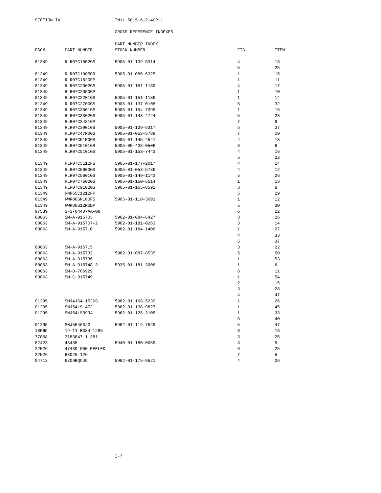|             |                     | PART NUMBER INDEX        |                |             |
|-------------|---------------------|--------------------------|----------------|-------------|
| <b>FSCM</b> | PART NUMBER         | STOCK NUMBER             | FIG.           | <b>ITEM</b> |
|             |                     |                          |                |             |
| 81349       | RLR07C1002GS        | 5905-01-139-5314         | 4              | 13          |
|             |                     |                          | 5              | 25          |
| 81349       | <b>RLR07C1005GR</b> | 5905-01-086-6325         | $\mathbf{1}$   | 15          |
| 81349       | RLR07C1820FP        |                          | $\mathbf{1}$   | 11          |
| 81349       | <b>RLR07C2002GS</b> | 5905-01-151-1189         | 4              | 17          |
| 81349       | <b>RLR07C2050GP</b> |                          | 1              | 10          |
| 81349       | <b>RLR07C2201GS</b> | 5905-01-151-1186         | $\mathbf{1}$   | 14          |
| 81349       | <b>RLR07C2700GS</b> | 5905-01-137-0108         | 5              | 32          |
| 81349       | <b>RLR07C3001GS</b> | 5905-01-154-7399         | $\mathbf{1}$   | 16          |
| 81349       | RLR07C3302GS        | 5905-01-143-4724         | 5              | 28          |
| 81349       | RLR07C3481GP        |                          | 7              | 9           |
| 81349       | <b>RLR07C3901GS</b> | 5905-01-139-5317         | 5              | 27          |
| 81349       | RLR07C47R0GS        | 5905-01-053-5788         | 7              | 10          |
| 81349       | RLR07C51R0GS        | 5905-01-145-4541         | $\overline{4}$ | 18          |
| 81349       | RLR07C5101GR        | 5905-00-438-0506         | 3              | 6           |
| 81349       | <b>RLR07C5101GS</b> | 5905-01-153-7443         | 4              | 16          |
|             |                     |                          | 5              | 22          |
| 81349       | RLR07C5112FS        | 5905-01-177-2017         | 4              | 14          |
| 81349       | RLR07C5600GS        | 5905-01-053-5786         | 4              | 12          |
| 81349       | <b>RLR07C5601GS</b> | 5905-01-149-1143         | 5              | 26          |
| 81349       | RLR07C7502GS        | 5905-01-150-5514         | $\mathbf{1}$   | 13          |
| 81349       | <b>RLR07C9102GS</b> | $5905 - 01 - 165 - 8592$ | 3              | 8           |
| 81349       | RNR55C1212FP        |                          | 5              | 29          |
| 81349       | RWR80SR100FS        | 5905-01-110-3091         | $\mathbf{1}$   | 12          |
| 81349       | RWR80S12R0DP        |                          | 5              | 30          |
| 97539       | SFS-0440-AA-08      |                          | 6              | 22          |
| 80063       | SM-A-915703         | 5962-01-084-6427         | 3              | 26          |
| 80063       | $SM-A-915707-2$     | 5962-01-181-0263         | 3              | 14          |
| 80063       | SM-A-915710         | 5962-01-184-1406         | $\mathbf{1}$   | 27          |
|             |                     |                          | $\overline{4}$ | 33          |
|             |                     |                          | 5              | 37          |
| 80063       | SM-A-915715         |                          | 3              | 22          |
| 80063       | SM-A-915732         | 5962-01-087-8535         | 5              | 50          |
| 80063       | SM-A-915736         |                          | $\mathbf{1}$   | 53          |
| 80063       | $SM-A-915748-3$     | 5935-01-181-3006         | $\mathbf{1}$   | 6           |
| 80063       | SM-B-766929         |                          | 6              | 11          |
| 80063       | SM-C-915749         |                          | $\mathbf{1}$   | 54          |
|             |                     |                          | $\overline{a}$ | 15          |
|             |                     |                          | 3              | 28          |
|             |                     |                          | 4              | 47          |
| 01295       | SMJ4164-15JDS       | 5962-01-168-5239         | 1              | 26          |
| 01295       | SNJ54LS147J         | 5962-01-138-9827         | $\mathbf{1}$   | 45          |
| 01295       | SNJ54LS3934         | 5962-01-125-3105         | $\mathbf{1}$   | 33          |
|             |                     |                          | 5              | 40          |
| 01295       | SNJ55463JG          | 5962-01-119-7549         | 5              | 47          |
| 18565       | 19-11-B384-1285     |                          | 6              | 16          |
| 77068       | 3183847-1-3B1       |                          | 3              | 25          |
| 82423       | 43435               | 5940-01-180-0059         | 3              | 9           |
| 22526       | 47439-000 REELED    |                          | 6              | 25          |
| 22526       | 68020-126           |                          | 7              | 5           |
| 04713       | 6809BQCJC           | 5962-01-175-9521         | 4              | 26          |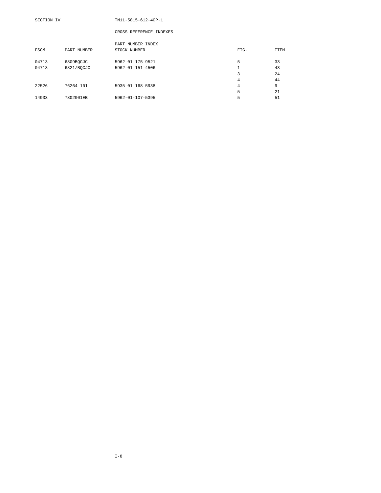|       |             | PART NUMBER INDEX |      |             |
|-------|-------------|-------------------|------|-------------|
| FSCM  | PART NUMBER | STOCK NUMBER      | FIG. | <b>ITEM</b> |
| 04713 | 6809BOCJC   | 5962-01-175-9521  | 5    | 33          |
| 04713 | 6821/BOCJC  | 5962-01-151-4506  | 1    | 43          |
|       |             |                   | 3    | 24          |
|       |             |                   | 4    | 44          |
| 22526 | 76264-101   | 5935-01-168-5938  | 4    | 9           |
|       |             |                   | 5    | 21          |
| 14933 | 7802001EB   | 5962-01-107-5395  | 5    | 51          |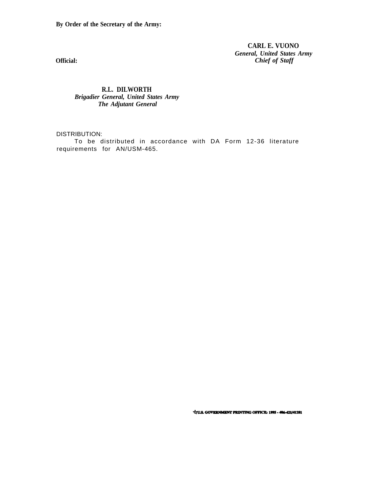**By Order of the Secretary of the Army:**

**CARL E. VUONO** *General, United States Army Chief of Staff*

**Official:**

**R.L. DILWORTH** *Brigadier General, United States Army The Adjutant General*

DISTRIBUTION:

To be distributed in accordance with DA Form 12-36 literature requirements for AN/USM-465.

**Vrus. GOVERNMENT PRINTING OFFICE: 1995 - 406-421/41281**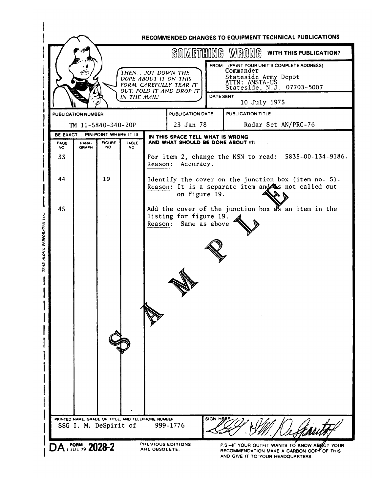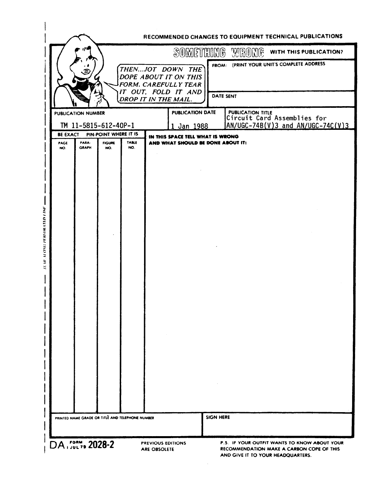|                  |                           |                                        |                                                  |                                                                          |                  | SOMETHING WRONG<br>WITH THIS PUBLICATION?               |
|------------------|---------------------------|----------------------------------------|--------------------------------------------------|--------------------------------------------------------------------------|------------------|---------------------------------------------------------|
|                  |                           |                                        |                                                  | THENJOT DOWN THE<br>DOPE ABOUT IT ON THIS<br><b>FORM. CAREFULLY TEAR</b> |                  | FROM: (PRINT YOUR UNIT'S COMPLETE ADDRESS               |
|                  |                           |                                        |                                                  | IT OUT, FOLD IT AND<br>DROP IT IN THE MAIL.                              |                  | <b>DATE SENT</b>                                        |
|                  | <b>PUBLICATION NUMBER</b> |                                        |                                                  | PUBLICATION DATE                                                         |                  | <b>PUBLICATION TITLE</b><br>Circuit Card Assemblies for |
|                  |                           | TM 11-5815-612-40P-1                   |                                                  | Jan 1988<br>1.                                                           |                  | $AN/UGC-74B(V)3$ and $AN/UGC-74C(V)3$                   |
| BE EXACT<br>PAGE | PARA-                     | PIN-POINT WHERE IT IS<br><b>FIGURE</b> | <b>TABLE</b>                                     | IN THIS SPACE TELL WHAT IS WRONG<br>AND WHAT SHOULD BE DONE ABOUT IT:    |                  |                                                         |
| NO.              | <b>GRAPH</b>              | NO.                                    | NO.                                              |                                                                          |                  |                                                         |
|                  |                           |                                        |                                                  |                                                                          |                  |                                                         |
|                  |                           |                                        |                                                  |                                                                          |                  |                                                         |
|                  |                           |                                        |                                                  |                                                                          |                  |                                                         |
|                  |                           |                                        |                                                  |                                                                          |                  |                                                         |
|                  |                           |                                        |                                                  |                                                                          |                  |                                                         |
|                  |                           |                                        |                                                  |                                                                          |                  |                                                         |
|                  |                           |                                        |                                                  |                                                                          |                  |                                                         |
|                  |                           |                                        |                                                  |                                                                          |                  |                                                         |
|                  |                           |                                        |                                                  |                                                                          |                  |                                                         |
|                  |                           |                                        |                                                  |                                                                          |                  |                                                         |
|                  |                           |                                        |                                                  |                                                                          |                  |                                                         |
|                  |                           |                                        |                                                  |                                                                          |                  |                                                         |
|                  |                           |                                        |                                                  |                                                                          |                  |                                                         |
|                  |                           |                                        |                                                  |                                                                          |                  |                                                         |
|                  |                           |                                        |                                                  |                                                                          |                  |                                                         |
|                  |                           |                                        |                                                  |                                                                          |                  |                                                         |
|                  |                           |                                        |                                                  |                                                                          |                  |                                                         |
|                  |                           |                                        |                                                  |                                                                          |                  |                                                         |
|                  |                           |                                        |                                                  |                                                                          |                  |                                                         |
|                  |                           |                                        |                                                  |                                                                          |                  |                                                         |
|                  |                           |                                        |                                                  |                                                                          |                  |                                                         |
|                  |                           |                                        | PRINTED NAME GRADE OR TITLE AND TELEPHONE NUMBER |                                                                          | <b>SIGN HERE</b> |                                                         |
|                  |                           |                                        |                                                  |                                                                          |                  |                                                         |

 $\sim$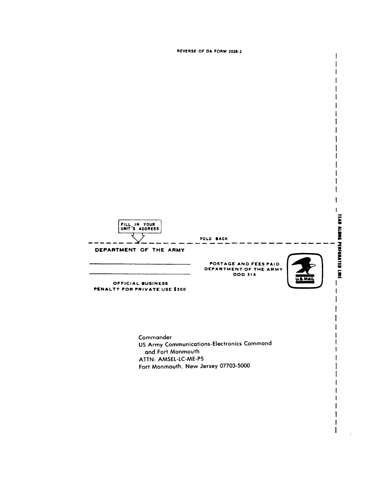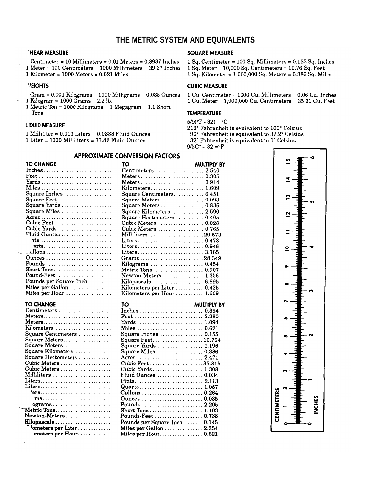# **THE METRIC SYSTEM AND EQUIVALENTS**

### 'NEAR MEASURE

Centimeter =  $10$  Millimeters =  $0.01$  Meters =  $0.3937$  Inches

- $1$  Meter = 100 Centimeters = 1000 Millimeters = 39.37 Inches
- 1 Kilometer =  $1000$  Meters =  $0.621$  Miles

### **VEIGHTS**

Gram =  $0.001$  Kilograms =  $1000$  Milligrams =  $0.035$  Ounces 1 Kilogram =  $1000$  Grams =  $2.2$  lb.

1 Metric Ton = 1000 Kilograms = 1 Megagram = 1.1 Short Tons

### **LIQUID MEASURE**

1 Milliliter =  $0.001$  Liters =  $0.0338$  Fluid Ounces

 $1$  Liter = 1000 Milliliters = 33.82 Fluid Ounces

# **SQUARE MEASURE**

1 Sq. Centimeter = 100 Sq. Millimeters = 0.155 Sq. Inches

- 1 Sq. Meter =  $10,000$  Sq. Centimeters =  $10.76$  Sq. Feet
- 1 Sq. Kilometer =  $1,000,000$  Sq. Meters = 0.386 Sq. Miles

### **CUBIC MEASURE**

1 Cu. Centimeter = 1000 Cu. Millimeters = 0.06 Cu. Inches 1 Cu. Meter =  $1,000,000$  Cu. Centimeters =  $35.31$  Cu. Feet

#### **TEMPERATURE**

 $5/9$ (°F - 32) = °C

212° Fahrenheit is evuivalent to 100° Celsius

90° Fahrenheit is equivalent to 32.2° Celsius

32° Fahrenheit is equivalent to 0° Celsius

 $9/5C^{\circ} + 32 = ^{\circ}F$ 

### **APPROXIMATE CONVERSION FACTORS**

| TO CHANGE                                                             | 10                                                                           | MULTIPLY BY |
|-----------------------------------------------------------------------|------------------------------------------------------------------------------|-------------|
|                                                                       | Centimeters  2.540                                                           |             |
| $\textbf{Feet} \dots \dots \dots \dots \dots \dots \dots \dots \dots$ |                                                                              |             |
|                                                                       |                                                                              |             |
| Miles                                                                 | $Kilometer s. \ldots \ldots \ldots \ldots \ldots 1.609$                      |             |
| Square Inches                                                         | Square Centimeters 6.451                                                     |             |
| Square Feet                                                           | Square Meters  0.093                                                         |             |
| Square Yards                                                          | Square Meters  0.836                                                         |             |
| Square Miles                                                          | Square Kilometers 2.590                                                      |             |
|                                                                       | Square Hectometers  0.405                                                    |             |
| Cubic Feet                                                            | Cubic Meters  0.028                                                          |             |
| Cubic Yards                                                           | Cubic Meters  0.765                                                          |             |
| Fluid Ounces                                                          | Milliliters29.573                                                            |             |
|                                                                       |                                                                              |             |
|                                                                       |                                                                              |             |
|                                                                       | Liters 0.946                                                                 |             |
| allons                                                                |                                                                              |             |
|                                                                       | Grams28.349                                                                  |             |
|                                                                       |                                                                              |             |
| Short Tons                                                            | Metric Tons  0.907                                                           |             |
| Pound-Feet                                                            | Newton-Meters $\ldots, \ldots, \ldots, 1.356$                                |             |
| Pounds per Square Inch                                                | Kilopascals  6.895                                                           |             |
| Miles per Gallon                                                      | Kilometers per Liter  0.425                                                  |             |
| Miles per Hour                                                        | Kilometers per Hour 1.609                                                    |             |
|                                                                       |                                                                              |             |
|                                                                       |                                                                              |             |
| TO CHANGE                                                             | TΟ                                                                           | MULTIPLY BY |
| $Centimeters \dots \dots \dots \dots \dots \dots \dots \dots$         | Inches  0.394                                                                |             |
|                                                                       | Feet  3.280                                                                  |             |
|                                                                       |                                                                              |             |
| Kilometers                                                            |                                                                              |             |
| Square Centimeters                                                    | Square Inches  0.155                                                         |             |
|                                                                       |                                                                              |             |
| Square Meters                                                         | Square Feet10.764                                                            |             |
| Square Meters                                                         | Square Yards  1.196                                                          |             |
| Square Kilometers<br>Square Hectometers                               | Square Miles 0.386                                                           |             |
| Cubic Meters $\dots\dots\dots\dots\dots\dots\dots$                    |                                                                              |             |
|                                                                       | Cubic Feet35.315                                                             |             |
| Cubic Meters                                                          | Cubic Yards 1.308<br>Fluid Ounces $\ldots \ldots \ldots \ldots \ldots 0.034$ |             |
| Milliliters<br>Liters                                                 |                                                                              |             |
|                                                                       |                                                                              |             |
| Liters                                                                | Quarts 1.057                                                                 |             |
| $"ers.$                                                               |                                                                              |             |
|                                                                       | Ounces  0.035                                                                |             |
| .ograms                                                               | Pounds  2.205                                                                |             |
| Metric Tons                                                           | Short Tons 1.102                                                             |             |
|                                                                       | Pounds-Feet  0.738                                                           |             |
| Kilopascals                                                           | Pounds per Square Inch  0.145                                                |             |
| ''ometers per Liter<br>meters per Hour                                | Miles per Gallon  2.354<br>Miles per Hour 0.621                              |             |